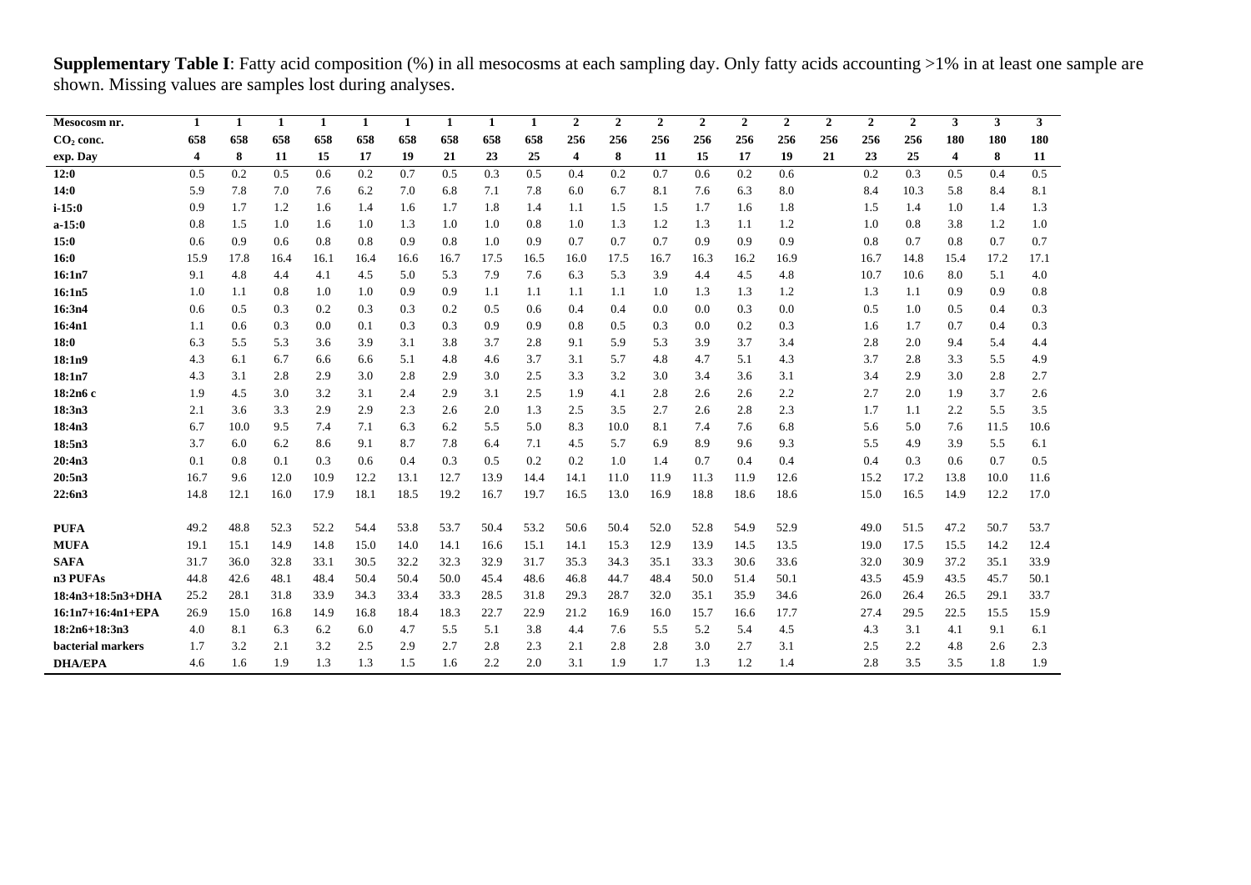| Mesocosm nr.        | $\mathbf{1}$ | $\mathbf{1}$ | $\mathbf{1}$ | 1    | 1    | $\mathbf{1}$ | $\mathbf{1}$ | 1    | 1    | $\overline{2}$ | $\mathbf{2}$ | $\overline{2}$ | $\mathbf{2}$ | $\overline{2}$ | $\overline{2}$ | $\mathbf{2}$ | $\mathbf{2}$ | $\overline{2}$ | 3                       | 3    | $\mathbf{3}$ |
|---------------------|--------------|--------------|--------------|------|------|--------------|--------------|------|------|----------------|--------------|----------------|--------------|----------------|----------------|--------------|--------------|----------------|-------------------------|------|--------------|
| $CO2$ conc.         | 658          | 658          | 658          | 658  | 658  | 658          | 658          | 658  | 658  | 256            | 256          | 256            | 256          | 256            | 256            | 256          | 256          | 256            | 180                     | 180  | 180          |
| exp. Day            | 4            | 8            | 11           | 15   | 17   | 19           | 21           | 23   | 25   | $\overline{4}$ | 8            | 11             | 15           | 17             | 19             | 21           | 23           | 25             | $\overline{\mathbf{4}}$ | 8    | 11           |
| 12:0                | 0.5          | 0.2          | 0.5          | 0.6  | 0.2  | 0.7          | 0.5          | 0.3  | 0.5  | 0.4            | 0.2          | 0.7            | 0.6          | 0.2            | 0.6            |              | 0.2          | 0.3            | 0.5                     | 0.4  | 0.5          |
| 14:0                | 5.9          | 7.8          | 7.0          | 7.6  | 6.2  | 7.0          | 6.8          | 7.1  | 7.8  | 6.0            | 6.7          | 8.1            | 7.6          | 6.3            | 8.0            |              | 8.4          | 10.3           | 5.8                     | 8.4  | 8.1          |
| $i - 15:0$          | 0.9          | 1.7          | 1.2          | 1.6  | 1.4  | 1.6          | 1.7          | 1.8  | 1.4  | 1.1            | 1.5          | 1.5            | 1.7          | 1.6            | 1.8            |              | 1.5          | 1.4            | 1.0                     | 1.4  | 1.3          |
| $a-15:0$            | 0.8          | 1.5          | 1.0          | 1.6  | 1.0  | 1.3          | 1.0          | 1.0  | 0.8  | 1.0            | 1.3          | 1.2            | 1.3          | 1.1            | 1.2            |              | 1.0          | 0.8            | 3.8                     | 1.2  | 1.0          |
| 15:0                | 0.6          | 0.9          | 0.6          | 0.8  | 0.8  | 0.9          | 0.8          | 1.0  | 0.9  | 0.7            | 0.7          | 0.7            | 0.9          | 0.9            | 0.9            |              | 0.8          | 0.7            | 0.8                     | 0.7  | 0.7          |
| 16:0                | 15.9         | 17.8         | 16.4         | 16.1 | 16.4 | 16.6         | 16.7         | 17.5 | 16.5 | 16.0           | 17.5         | 16.7           | 16.3         | 16.2           | 16.9           |              | 16.7         | 14.8           | 15.4                    | 17.2 | 17.1         |
| 16:1n7              | 9.1          | 4.8          | 4.4          | 4.1  | 4.5  | 5.0          | 5.3          | 7.9  | 7.6  | 6.3            | 5.3          | 3.9            | 4.4          | 4.5            | 4.8            |              | 10.7         | 10.6           | 8.0                     | 5.1  | 4.0          |
| 16:1n5              | 1.0          | 1.1          | 0.8          | 1.0  | 1.0  | 0.9          | 0.9          | 1.1  | 1.1  | 1.1            | 1.1          | 1.0            | 1.3          | 1.3            | 1.2            |              | 1.3          | 1.1            | 0.9                     | 0.9  | 0.8          |
| 16:3n4              | 0.6          | 0.5          | 0.3          | 0.2  | 0.3  | 0.3          | 0.2          | 0.5  | 0.6  | 0.4            | 0.4          | 0.0            | 0.0          | 0.3            | 0.0            |              | 0.5          | 1.0            | 0.5                     | 0.4  | 0.3          |
| 16:4n1              | 1.1          | 0.6          | 0.3          | 0.0  | 0.1  | 0.3          | 0.3          | 0.9  | 0.9  | 0.8            | 0.5          | 0.3            | 0.0          | 0.2            | 0.3            |              | 1.6          | 1.7            | 0.7                     | 0.4  | 0.3          |
| 18:0                | 6.3          | 5.5          | 5.3          | 3.6  | 3.9  | 3.1          | 3.8          | 3.7  | 2.8  | 9.1            | 5.9          | 5.3            | 3.9          | 3.7            | 3.4            |              | 2.8          | 2.0            | 9.4                     | 5.4  | 4.4          |
| 18:1n9              | 4.3          | 6.1          | 6.7          | 6.6  | 6.6  | 5.1          | 4.8          | 4.6  | 3.7  | 3.1            | 5.7          | 4.8            | 4.7          | 5.1            | 4.3            |              | 3.7          | 2.8            | 3.3                     | 5.5  | 4.9          |
| 18:1n7              | 4.3          | 3.1          | 2.8          | 2.9  | 3.0  | 2.8          | 2.9          | 3.0  | 2.5  | 3.3            | 3.2          | 3.0            | 3.4          | 3.6            | 3.1            |              | 3.4          | 2.9            | 3.0                     | 2.8  | 2.7          |
| 18:2n6 c            | 1.9          | 4.5          | 3.0          | 3.2  | 3.1  | 2.4          | 2.9          | 3.1  | 2.5  | 1.9            | 4.1          | 2.8            | 2.6          | 2.6            | 2.2            |              | 2.7          | 2.0            | 1.9                     | 3.7  | 2.6          |
| 18:3n3              | 2.1          | 3.6          | 3.3          | 2.9  | 2.9  | 2.3          | 2.6          | 2.0  | 1.3  | 2.5            | 3.5          | 2.7            | 2.6          | 2.8            | 2.3            |              | 1.7          | 1.1            | 2.2                     | 5.5  | 3.5          |
| 18:4n3              | 6.7          | 10.0         | 9.5          | 7.4  | 7.1  | 6.3          | 6.2          | 5.5  | 5.0  | 8.3            | 10.0         | 8.1            | 7.4          | 7.6            | 6.8            |              | 5.6          | 5.0            | 7.6                     | 11.5 | 10.6         |
| 18:5n3              | 3.7          | 6.0          | 6.2          | 8.6  | 9.1  | 8.7          | 7.8          | 6.4  | 7.1  | 4.5            | 5.7          | 6.9            | 8.9          | 9.6            | 9.3            |              | 5.5          | 4.9            | 3.9                     | 5.5  | 6.1          |
| 20:4n3              | 0.1          | 0.8          | 0.1          | 0.3  | 0.6  | 0.4          | 0.3          | 0.5  | 0.2  | 0.2            | 1.0          | 1.4            | 0.7          | 0.4            | 0.4            |              | 0.4          | 0.3            | 0.6                     | 0.7  | 0.5          |
| 20:5n3              | 16.7         | 9.6          | 12.0         | 10.9 | 12.2 | 13.1         | 12.7         | 13.9 | 14.4 | 14.1           | 11.0         | 11.9           | 11.3         | 11.9           | 12.6           |              | 15.2         | 17.2           | 13.8                    | 10.0 | 11.6         |
| 22:6n3              | 14.8         | 12.1         | 16.0         | 17.9 | 18.1 | 18.5         | 19.2         | 16.7 | 19.7 | 16.5           | 13.0         | 16.9           | 18.8         | 18.6           | 18.6           |              | 15.0         | 16.5           | 14.9                    | 12.2 | 17.0         |
| <b>PUFA</b>         | 49.2         | 48.8         | 52.3         | 52.2 | 54.4 | 53.8         | 53.7         | 50.4 | 53.2 | 50.6           | 50.4         | 52.0           | 52.8         | 54.9           | 52.9           |              | 49.0         | 51.5           | 47.2                    | 50.7 | 53.7         |
| <b>MUFA</b>         | 19.1         | 15.1         | 14.9         | 14.8 | 15.0 | 14.0         | 14.1         | 16.6 | 15.1 | 14.1           | 15.3         | 12.9           | 13.9         | 14.5           | 13.5           |              | 19.0         | 17.5           | 15.5                    | 14.2 | 12.4         |
| <b>SAFA</b>         | 31.7         | 36.0         | 32.8         | 33.1 | 30.5 | 32.2         | 32.3         | 32.9 | 31.7 | 35.3           | 34.3         | 35.1           | 33.3         | 30.6           | 33.6           |              | 32.0         | 30.9           | 37.2                    | 35.1 | 33.9         |
| n3 PUFAs            | 44.8         | 42.6         | 48.1         | 48.4 | 50.4 | 50.4         | 50.0         | 45.4 | 48.6 | 46.8           | 44.7         | 48.4           | 50.0         | 51.4           | 50.1           |              | 43.5         | 45.9           | 43.5                    | 45.7 | 50.1         |
| $18:4n3+18:5n3+DHA$ | 25.2         | 28.1         | 31.8         | 33.9 | 34.3 | 33.4         | 33.3         | 28.5 | 31.8 | 29.3           | 28.7         | 32.0           | 35.1         | 35.9           | 34.6           |              | 26.0         | 26.4           | 26.5                    | 29.1 | 33.7         |
| 16:1n7+16:4n1+EPA   | 26.9         | 15.0         | 16.8         | 14.9 | 16.8 | 18.4         | 18.3         | 22.7 | 22.9 | 21.2           | 16.9         | 16.0           | 15.7         | 16.6           | 17.7           |              | 27.4         | 29.5           | 22.5                    | 15.5 | 15.9         |
| $18:2n6+18:3n3$     | 4.0          | 8.1          | 6.3          | 6.2  | 6.0  | 4.7          | 5.5          | 5.1  | 3.8  | 4.4            | 7.6          | 5.5            | 5.2          | 5.4            | 4.5            |              | 4.3          | 3.1            | 4.1                     | 9.1  | 6.1          |
| bacterial markers   | 1.7          | 3.2          | 2.1          | 3.2  | 2.5  | 2.9          | 2.7          | 2.8  | 2.3  | 2.1            | 2.8          | 2.8            | 3.0          | 2.7            | 3.1            |              | 2.5          | 2.2            | 4.8                     | 2.6  | 2.3          |
| <b>DHA/EPA</b>      | 4.6          | 1.6          | 1.9          | 1.3  | 1.3  | 1.5          | 1.6          | 2.2  | 2.0  | 3.1            | 1.9          | 1.7            | 1.3          | 1.2            | 1.4            |              | 2.8          | 3.5            | 3.5                     | 1.8  | 1.9          |

**Supplementary Table I**: Fatty acid composition (%) in all mesocosms at each sampling day. Only fatty acids accounting >1% in at least one sample are shown. Missing values are samples lost during analyses.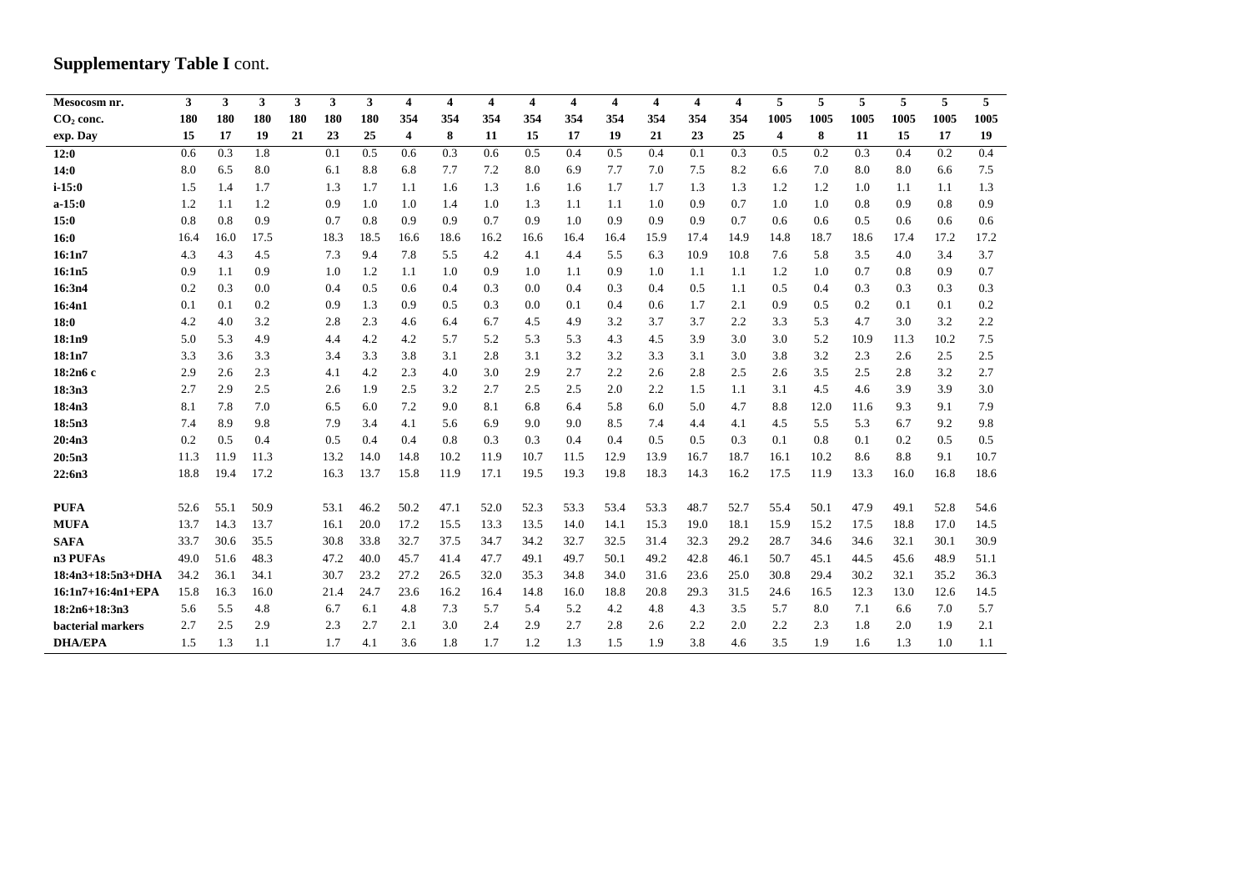# **Supplementary Table I** cont.

| Mesocosm nr.      | 3    | 3    | 3    | 3   | 3    | 3    | 4    | 4    | $\overline{\mathbf{4}}$ | 4    | $\overline{\bf 4}$ | $\overline{\mathbf{4}}$ | 4    | 4    | 4    | 5              | 5    | 5    | 5    | 5    | 5    |
|-------------------|------|------|------|-----|------|------|------|------|-------------------------|------|--------------------|-------------------------|------|------|------|----------------|------|------|------|------|------|
| $CO2$ conc.       | 180  | 180  | 180  | 180 | 180  | 180  | 354  | 354  | 354                     | 354  | 354                | 354                     | 354  | 354  | 354  | 1005           | 1005 | 1005 | 1005 | 1005 | 1005 |
| exp. Day          | 15   | 17   | 19   | 21  | 23   | 25   | 4    | 8    | 11                      | 15   | 17                 | 19                      | 21   | 23   | 25   | $\overline{4}$ | 8    | 11   | 15   | 17   | 19   |
| 12:0              | 0.6  | 0.3  | 1.8  |     | 0.1  | 0.5  | 0.6  | 0.3  | 0.6                     | 0.5  | 0.4                | 0.5                     | 0.4  | 0.1  | 0.3  | 0.5            | 0.2  | 0.3  | 0.4  | 0.2  | 0.4  |
| 14:0              | 8.0  | 6.5  | 8.0  |     | 6.1  | 8.8  | 6.8  | 7.7  | 7.2                     | 8.0  | 6.9                | 7.7                     | 7.0  | 7.5  | 8.2  | 6.6            | 7.0  | 8.0  | 8.0  | 6.6  | 7.5  |
| $i - 15:0$        | 1.5  | 1.4  | 1.7  |     | 1.3  | 1.7  | 1.1  | 1.6  | 1.3                     | 1.6  | 1.6                | 1.7                     | 1.7  | 1.3  | 1.3  | 1.2            | 1.2  | 1.0  | 1.1  | 1.1  | 1.3  |
| $a-15:0$          | 1.2  | 1.1  | 1.2  |     | 0.9  | 1.0  | 1.0  | 1.4  | 1.0                     | 1.3  | 1.1                | 1.1                     | 1.0  | 0.9  | 0.7  | 1.0            | 1.0  | 0.8  | 0.9  | 0.8  | 0.9  |
| 15:0              | 0.8  | 0.8  | 0.9  |     | 0.7  | 0.8  | 0.9  | 0.9  | 0.7                     | 0.9  | 1.0                | 0.9                     | 0.9  | 0.9  | 0.7  | 0.6            | 0.6  | 0.5  | 0.6  | 0.6  | 0.6  |
| 16:0              | 16.4 | 16.0 | 17.5 |     | 18.3 | 18.5 | 16.6 | 18.6 | 16.2                    | 16.6 | 16.4               | 16.4                    | 15.9 | 17.4 | 14.9 | 14.8           | 18.7 | 18.6 | 17.4 | 17.2 | 17.2 |
| 16:1n7            | 4.3  | 4.3  | 4.5  |     | 7.3  | 9.4  | 7.8  | 5.5  | 4.2                     | 4.1  | 4.4                | 5.5                     | 6.3  | 10.9 | 10.8 | 7.6            | 5.8  | 3.5  | 4.0  | 3.4  | 3.7  |
| 16:1n5            | 0.9  | 1.1  | 0.9  |     | 1.0  | 1.2  | 1.1  | 1.0  | 0.9                     | 1.0  | 1.1                | 0.9                     | 1.0  | 1.1  | 1.1  | 1.2            | 1.0  | 0.7  | 0.8  | 0.9  | 0.7  |
| 16:3n4            | 0.2  | 0.3  | 0.0  |     | 0.4  | 0.5  | 0.6  | 0.4  | 0.3                     | 0.0  | 0.4                | 0.3                     | 0.4  | 0.5  | 1.1  | 0.5            | 0.4  | 0.3  | 0.3  | 0.3  | 0.3  |
| 16:4n1            | 0.1  | 0.1  | 0.2  |     | 0.9  | 1.3  | 0.9  | 0.5  | 0.3                     | 0.0  | 0.1                | 0.4                     | 0.6  | 1.7  | 2.1  | 0.9            | 0.5  | 0.2  | 0.1  | 0.1  | 0.2  |
| 18:0              | 4.2  | 4.0  | 3.2  |     | 2.8  | 2.3  | 4.6  | 6.4  | 6.7                     | 4.5  | 4.9                | 3.2                     | 3.7  | 3.7  | 2.2  | 3.3            | 5.3  | 4.7  | 3.0  | 3.2  | 2.2  |
| 18:1n9            | 5.0  | 5.3  | 4.9  |     | 4.4  | 4.2  | 4.2  | 5.7  | 5.2                     | 5.3  | 5.3                | 4.3                     | 4.5  | 3.9  | 3.0  | 3.0            | 5.2  | 10.9 | 11.3 | 10.2 | 7.5  |
| 18:1n7            | 3.3  | 3.6  | 3.3  |     | 3.4  | 3.3  | 3.8  | 3.1  | 2.8                     | 3.1  | 3.2                | 3.2                     | 3.3  | 3.1  | 3.0  | 3.8            | 3.2  | 2.3  | 2.6  | 2.5  | 2.5  |
| 18:2n6 c          | 2.9  | 2.6  | 2.3  |     | 4.1  | 4.2  | 2.3  | 4.0  | 3.0                     | 2.9  | 2.7                | 2.2                     | 2.6  | 2.8  | 2.5  | 2.6            | 3.5  | 2.5  | 2.8  | 3.2  | 2.7  |
| 18:3n3            | 2.7  | 2.9  | 2.5  |     | 2.6  | 1.9  | 2.5  | 3.2  | 2.7                     | 2.5  | 2.5                | 2.0                     | 2.2  | 1.5  | 1.1  | 3.1            | 4.5  | 4.6  | 3.9  | 3.9  | 3.0  |
| 18:4n3            | 8.1  | 7.8  | 7.0  |     | 6.5  | 6.0  | 7.2  | 9.0  | 8.1                     | 6.8  | 6.4                | 5.8                     | 6.0  | 5.0  | 4.7  | 8.8            | 12.0 | 11.6 | 9.3  | 9.1  | 7.9  |
| 18:5n3            | 7.4  | 8.9  | 9.8  |     | 7.9  | 3.4  | 4.1  | 5.6  | 6.9                     | 9.0  | 9.0                | 8.5                     | 7.4  | 4.4  | 4.1  | 4.5            | 5.5  | 5.3  | 6.7  | 9.2  | 9.8  |
| 20:4n3            | 0.2  | 0.5  | 0.4  |     | 0.5  | 0.4  | 0.4  | 0.8  | 0.3                     | 0.3  | 0.4                | 0.4                     | 0.5  | 0.5  | 0.3  | 0.1            | 0.8  | 0.1  | 0.2  | 0.5  | 0.5  |
| 20:5n3            | 11.3 | 11.9 | 11.3 |     | 13.2 | 14.0 | 14.8 | 10.2 | 11.9                    | 10.7 | 11.5               | 12.9                    | 13.9 | 16.7 | 18.7 | 16.1           | 10.2 | 8.6  | 8.8  | 9.1  | 10.7 |
| 22:6n3            | 18.8 | 19.4 | 17.2 |     | 16.3 | 13.7 | 15.8 | 11.9 | 17.1                    | 19.5 | 19.3               | 19.8                    | 18.3 | 14.3 | 16.2 | 17.5           | 11.9 | 13.3 | 16.0 | 16.8 | 18.6 |
|                   |      |      |      |     |      |      |      |      |                         |      |                    |                         |      |      |      |                |      |      |      |      |      |
| <b>PUFA</b>       | 52.6 | 55.1 | 50.9 |     | 53.1 | 46.2 | 50.2 | 47.1 | 52.0                    | 52.3 | 53.3               | 53.4                    | 53.3 | 48.7 | 52.7 | 55.4           | 50.1 | 47.9 | 49.1 | 52.8 | 54.6 |
| <b>MUFA</b>       | 13.7 | 14.3 | 13.7 |     | 16.1 | 20.0 | 17.2 | 15.5 | 13.3                    | 13.5 | 14.0               | 14.1                    | 15.3 | 19.0 | 18.1 | 15.9           | 15.2 | 17.5 | 18.8 | 17.0 | 14.5 |
| <b>SAFA</b>       | 33.7 | 30.6 | 35.5 |     | 30.8 | 33.8 | 32.7 | 37.5 | 34.7                    | 34.2 | 32.7               | 32.5                    | 31.4 | 32.3 | 29.2 | 28.7           | 34.6 | 34.6 | 32.1 | 30.1 | 30.9 |
| n3 PUFAs          | 49.0 | 51.6 | 48.3 |     | 47.2 | 40.0 | 45.7 | 41.4 | 47.7                    | 49.1 | 49.7               | 50.1                    | 49.2 | 42.8 | 46.1 | 50.7           | 45.1 | 44.5 | 45.6 | 48.9 | 51.1 |
| 18:4n3+18:5n3+DHA | 34.2 | 36.1 | 34.1 |     | 30.7 | 23.2 | 27.2 | 26.5 | 32.0                    | 35.3 | 34.8               | 34.0                    | 31.6 | 23.6 | 25.0 | 30.8           | 29.4 | 30.2 | 32.1 | 35.2 | 36.3 |
| 16:1n7+16:4n1+EPA | 15.8 | 16.3 | 16.0 |     | 21.4 | 24.7 | 23.6 | 16.2 | 16.4                    | 14.8 | 16.0               | 18.8                    | 20.8 | 29.3 | 31.5 | 24.6           | 16.5 | 12.3 | 13.0 | 12.6 | 14.5 |
| $18:2n6+18:3n3$   | 5.6  | 5.5  | 4.8  |     | 6.7  | 6.1  | 4.8  | 7.3  | 5.7                     | 5.4  | 5.2                | 4.2                     | 4.8  | 4.3  | 3.5  | 5.7            | 8.0  | 7.1  | 6.6  | 7.0  | 5.7  |
| bacterial markers | 2.7  | 2.5  | 2.9  |     | 2.3  | 2.7  | 2.1  | 3.0  | 2.4                     | 2.9  | 2.7                | 2.8                     | 2.6  | 2.2  | 2.0  | 2.2            | 2.3  | 1.8  | 2.0  | 1.9  | 2.1  |
| <b>DHA/EPA</b>    | 1.5  | 1.3  | 1.1  |     | 1.7  | 4.1  | 3.6  | 1.8  | 1.7                     | 1.2  | 1.3                | 1.5                     | 1.9  | 3.8  | 4.6  | 3.5            | 1.9  | 1.6  | 1.3  | 1.0  | 1.1  |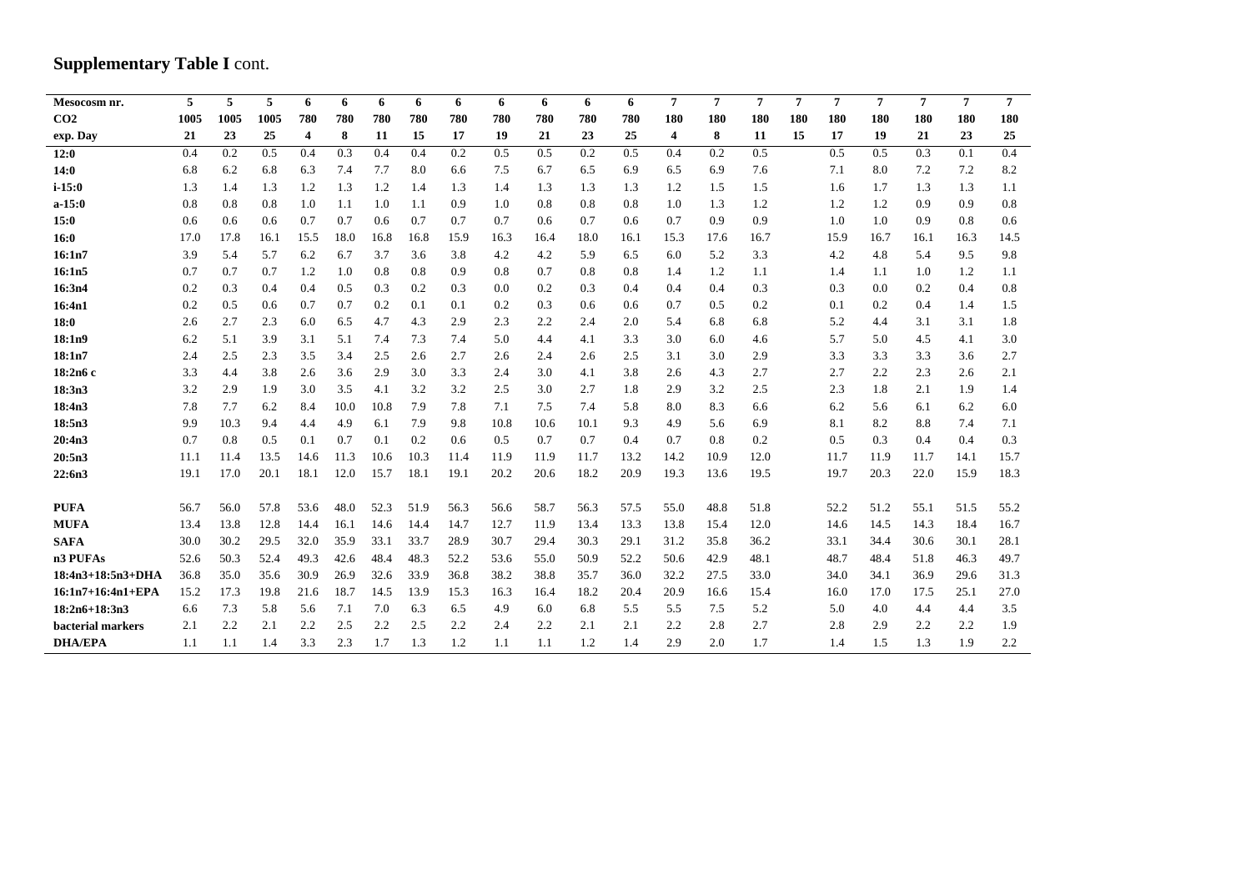# **Supplementary Table I cont.**

| Mesocosm nr.        | 5    | 5    | 5    | 6    | 6    | 6    | 6    | 6    | 6    | 6    | 6    | 6    | $\overline{7}$ | $\overline{7}$ | $\overline{7}$ | $\overline{7}$ | 7    | $\overline{7}$ | $\overline{7}$ | $\overline{7}$ | $\overline{7}$ |
|---------------------|------|------|------|------|------|------|------|------|------|------|------|------|----------------|----------------|----------------|----------------|------|----------------|----------------|----------------|----------------|
| CO <sub>2</sub>     | 1005 | 1005 | 1005 | 780  | 780  | 780  | 780  | 780  | 780  | 780  | 780  | 780  | 180            | 180            | 180            | 180            | 180  | 180            | 180            | 180            | 180            |
| exp. Day            | 21   | 23   | 25   | 4    | 8    | 11   | 15   | 17   | 19   | 21   | 23   | 25   | $\overline{4}$ | 8              | 11             | 15             | 17   | 19             | 21             | 23             | 25             |
| 12:0                | 0.4  | 0.2  | 0.5  | 0.4  | 0.3  | 0.4  | 0.4  | 0.2  | 0.5  | 0.5  | 0.2  | 0.5  | 0.4            | 0.2            | 0.5            |                | 0.5  | 0.5            | 0.3            | 0.1            | 0.4            |
| 14:0                | 6.8  | 6.2  | 6.8  | 6.3  | 7.4  | 7.7  | 8.0  | 6.6  | 7.5  | 6.7  | 6.5  | 6.9  | 6.5            | 6.9            | 7.6            |                | 7.1  | 8.0            | 7.2            | 7.2            | 8.2            |
| $i - 15:0$          | 1.3  | 1.4  | 1.3  | 1.2  | 1.3  | 1.2  | 1.4  | 1.3  | 1.4  | 1.3  | 1.3  | 1.3  | 1.2            | 1.5            | 1.5            |                | 1.6  | 1.7            | 1.3            | 1.3            | 1.1            |
| $a-15:0$            | 0.8  | 0.8  | 0.8  | 1.0  | 1.1  | 1.0  | 1.1  | 0.9  | 1.0  | 0.8  | 0.8  | 0.8  | 1.0            | 1.3            | 1.2            |                | 1.2  | 1.2            | 0.9            | 0.9            | 0.8            |
| 15:0                | 0.6  | 0.6  | 0.6  | 0.7  | 0.7  | 0.6  | 0.7  | 0.7  | 0.7  | 0.6  | 0.7  | 0.6  | 0.7            | 0.9            | 0.9            |                | 1.0  | 1.0            | 0.9            | 0.8            | 0.6            |
| 16:0                | 17.0 | 17.8 | 16.1 | 15.5 | 18.0 | 16.8 | 16.8 | 15.9 | 16.3 | 16.4 | 18.0 | 16.1 | 15.3           | 17.6           | 16.7           |                | 15.9 | 16.7           | 16.1           | 16.3           | 14.5           |
| 16:1n7              | 3.9  | 5.4  | 5.7  | 6.2  | 6.7  | 3.7  | 3.6  | 3.8  | 4.2  | 4.2  | 5.9  | 6.5  | 6.0            | 5.2            | 3.3            |                | 4.2  | 4.8            | 5.4            | 9.5            | 9.8            |
| 16:1n5              | 0.7  | 0.7  | 0.7  | 1.2  | 1.0  | 0.8  | 0.8  | 0.9  | 0.8  | 0.7  | 0.8  | 0.8  | 1.4            | 1.2            | 1.1            |                | 1.4  | 1.1            | 1.0            | 1.2            | 1.1            |
| 16:3n4              | 0.2  | 0.3  | 0.4  | 0.4  | 0.5  | 0.3  | 0.2  | 0.3  | 0.0  | 0.2  | 0.3  | 0.4  | 0.4            | 0.4            | 0.3            |                | 0.3  | 0.0            | 0.2            | 0.4            | 0.8            |
| 16:4n1              | 0.2  | 0.5  | 0.6  | 0.7  | 0.7  | 0.2  | 0.1  | 0.1  | 0.2  | 0.3  | 0.6  | 0.6  | 0.7            | 0.5            | 0.2            |                | 0.1  | 0.2            | 0.4            | 1.4            | 1.5            |
| 18:0                | 2.6  | 2.7  | 2.3  | 6.0  | 6.5  | 4.7  | 4.3  | 2.9  | 2.3  | 2.2  | 2.4  | 2.0  | 5.4            | 6.8            | 6.8            |                | 5.2  | 4.4            | 3.1            | 3.1            | 1.8            |
| 18:1n9              | 6.2  | 5.1  | 3.9  | 3.1  | 5.1  | 7.4  | 7.3  | 7.4  | 5.0  | 4.4  | 4.1  | 3.3  | 3.0            | 6.0            | 4.6            |                | 5.7  | 5.0            | 4.5            | 4.1            | 3.0            |
| 18:1n7              | 2.4  | 2.5  | 2.3  | 3.5  | 3.4  | 2.5  | 2.6  | 2.7  | 2.6  | 2.4  | 2.6  | 2.5  | 3.1            | 3.0            | 2.9            |                | 3.3  | 3.3            | 3.3            | 3.6            | 2.7            |
| 18:2n6 c            | 3.3  | 4.4  | 3.8  | 2.6  | 3.6  | 2.9  | 3.0  | 3.3  | 2.4  | 3.0  | 4.1  | 3.8  | 2.6            | 4.3            | 2.7            |                | 2.7  | 2.2            | 2.3            | 2.6            | 2.1            |
| 18:3n3              | 3.2  | 2.9  | 1.9  | 3.0  | 3.5  | 4.1  | 3.2  | 3.2  | 2.5  | 3.0  | 2.7  | 1.8  | 2.9            | 3.2            | 2.5            |                | 2.3  | 1.8            | 2.1            | 1.9            | 1.4            |
| 18:4n3              | 7.8  | 7.7  | 6.2  | 8.4  | 10.0 | 10.8 | 7.9  | 7.8  | 7.1  | 7.5  | 7.4  | 5.8  | 8.0            | 8.3            | 6.6            |                | 6.2  | 5.6            | 6.1            | 6.2            | 6.0            |
| 18:5n3              | 9.9  | 10.3 | 9.4  | 4.4  | 4.9  | 6.1  | 7.9  | 9.8  | 10.8 | 10.6 | 10.1 | 9.3  | 4.9            | 5.6            | 6.9            |                | 8.1  | 8.2            | 8.8            | 7.4            | 7.1            |
| 20:4n3              | 0.7  | 0.8  | 0.5  | 0.1  | 0.7  | 0.1  | 0.2  | 0.6  | 0.5  | 0.7  | 0.7  | 0.4  | 0.7            | 0.8            | 0.2            |                | 0.5  | 0.3            | 0.4            | 0.4            | 0.3            |
| 20:5n3              | 11.1 | 11.4 | 13.5 | 14.6 | 11.3 | 10.6 | 10.3 | 11.4 | 11.9 | 11.9 | 11.7 | 13.2 | 14.2           | 10.9           | 12.0           |                | 11.7 | 11.9           | 11.7           | 14.1           | 15.7           |
| 22:6n3              | 19.1 | 17.0 | 20.1 | 18.1 | 12.0 | 15.7 | 18.1 | 19.1 | 20.2 | 20.6 | 18.2 | 20.9 | 19.3           | 13.6           | 19.5           |                | 19.7 | 20.3           | 22.0           | 15.9           | 18.3           |
|                     |      |      |      |      |      |      |      |      |      |      |      |      |                |                |                |                |      |                |                |                |                |
| <b>PUFA</b>         | 56.7 | 56.0 | 57.8 | 53.6 | 48.0 | 52.3 | 51.9 | 56.3 | 56.6 | 58.7 | 56.3 | 57.5 | 55.0           | 48.8           | 51.8           |                | 52.2 | 51.2           | 55.1           | 51.5           | 55.2           |
| <b>MUFA</b>         | 13.4 | 13.8 | 12.8 | 14.4 | 16.1 | 14.6 | 14.4 | 14.7 | 12.7 | 11.9 | 13.4 | 13.3 | 13.8           | 15.4           | 12.0           |                | 14.6 | 14.5           | 14.3           | 18.4           | 16.7           |
| <b>SAFA</b>         | 30.0 | 30.2 | 29.5 | 32.0 | 35.9 | 33.1 | 33.7 | 28.9 | 30.7 | 29.4 | 30.3 | 29.1 | 31.2           | 35.8           | 36.2           |                | 33.1 | 34.4           | 30.6           | 30.1           | 28.1           |
| n3 PUFAs            | 52.6 | 50.3 | 52.4 | 49.3 | 42.6 | 48.4 | 48.3 | 52.2 | 53.6 | 55.0 | 50.9 | 52.2 | 50.6           | 42.9           | 48.1           |                | 48.7 | 48.4           | 51.8           | 46.3           | 49.7           |
| 18:4n3+18:5n3+DHA   | 36.8 | 35.0 | 35.6 | 30.9 | 26.9 | 32.6 | 33.9 | 36.8 | 38.2 | 38.8 | 35.7 | 36.0 | 32.2           | 27.5           | 33.0           |                | 34.0 | 34.1           | 36.9           | 29.6           | 31.3           |
| $16:1n7+16:4n1+EPA$ | 15.2 | 17.3 | 19.8 | 21.6 | 18.7 | 14.5 | 13.9 | 15.3 | 16.3 | 16.4 | 18.2 | 20.4 | 20.9           | 16.6           | 15.4           |                | 16.0 | 17.0           | 17.5           | 25.1           | 27.0           |
| $18:2n6+18:3n3$     | 6.6  | 7.3  | 5.8  | 5.6  | 7.1  | 7.0  | 6.3  | 6.5  | 4.9  | 6.0  | 6.8  | 5.5  | 5.5            | 7.5            | 5.2            |                | 5.0  | 4.0            | 4.4            | 4.4            | 3.5            |
| bacterial markers   | 2.1  | 2.2  | 2.1  | 2.2  | 2.5  | 2.2  | 2.5  | 2.2  | 2.4  | 2.2  | 2.1  | 2.1  | 2.2            | 2.8            | 2.7            |                | 2.8  | 2.9            | 2.2            | 2.2            | 1.9            |
| <b>DHA/EPA</b>      | 1.1  | 1.1  | 1.4  | 3.3  | 2.3  | 1.7  | 1.3  | 1.2  | 1.1  | 1.1  | 1.2  | 1.4  | 2.9            | 2.0            | 1.7            |                | 1.4  | 1.5            | 1.3            | 1.9            | 2.2            |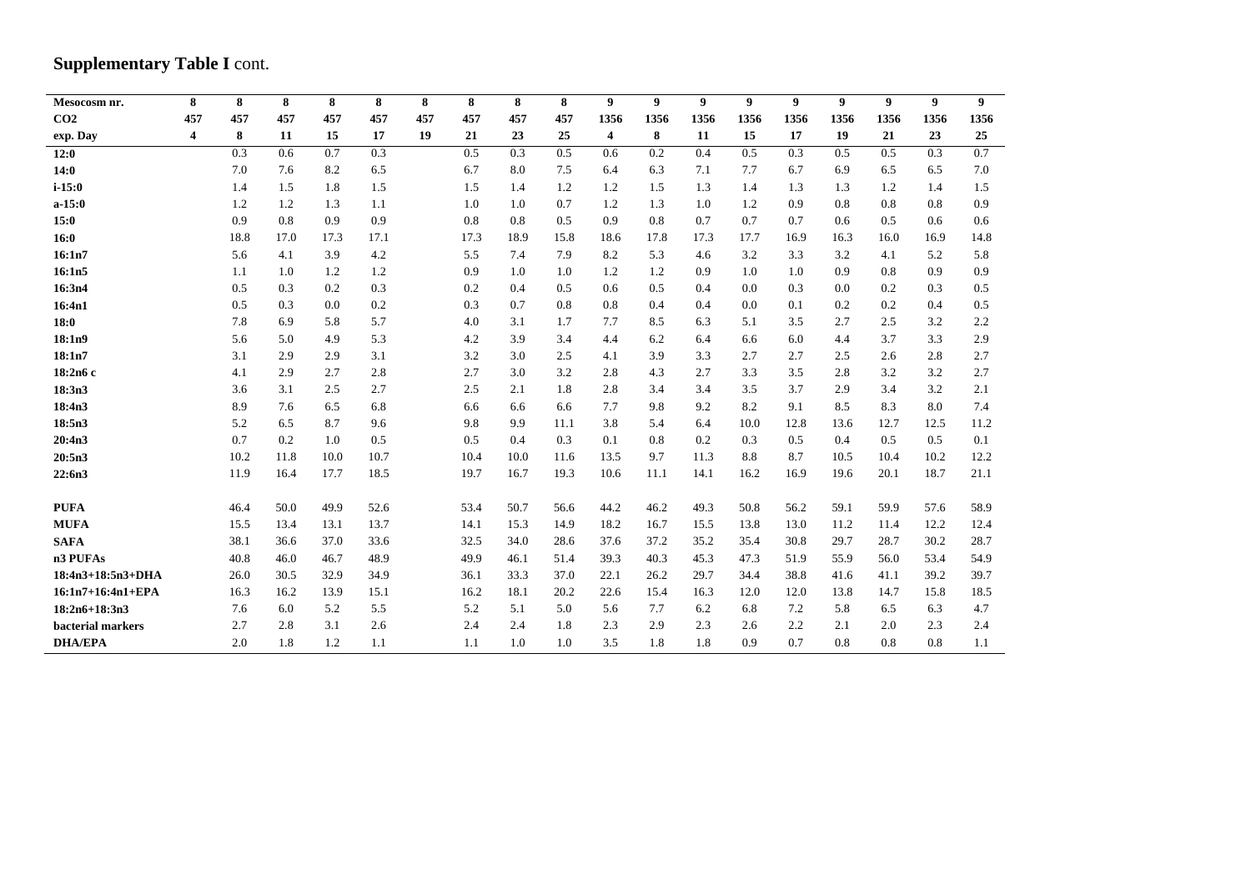# **Supplementary Table I cont.**

| Mesocosm nr.      | 8                       | 8    | 8    | 8    | 8    | 8   | 8    | 8    | 8    | 9    | 9    | 9    | 9    | $\boldsymbol{9}$ | 9    | $\boldsymbol{9}$ | $\boldsymbol{9}$ | 9    |
|-------------------|-------------------------|------|------|------|------|-----|------|------|------|------|------|------|------|------------------|------|------------------|------------------|------|
| CO <sub>2</sub>   | 457                     | 457  | 457  | 457  | 457  | 457 | 457  | 457  | 457  | 1356 | 1356 | 1356 | 1356 | 1356             | 1356 | 1356             | 1356             | 1356 |
| exp. Day          | $\overline{\mathbf{4}}$ | 8    | 11   | 15   | 17   | 19  | 21   | 23   | 25   | 4    | 8    | 11   | 15   | 17               | 19   | 21               | 23               | 25   |
| 12:0              |                         | 0.3  | 0.6  | 0.7  | 0.3  |     | 0.5  | 0.3  | 0.5  | 0.6  | 0.2  | 0.4  | 0.5  | 0.3              | 0.5  | 0.5              | 0.3              | 0.7  |
| 14:0              |                         | 7.0  | 7.6  | 8.2  | 6.5  |     | 6.7  | 8.0  | 7.5  | 6.4  | 6.3  | 7.1  | 7.7  | 6.7              | 6.9  | 6.5              | 6.5              | 7.0  |
| $i - 15:0$        |                         | 1.4  | 1.5  | 1.8  | 1.5  |     | 1.5  | 1.4  | 1.2  | 1.2  | 1.5  | 1.3  | 1.4  | 1.3              | 1.3  | 1.2              | 1.4              | 1.5  |
| $a-15:0$          |                         | 1.2  | 1.2  | 1.3  | 1.1  |     | 1.0  | 1.0  | 0.7  | 1.2  | 1.3  | 1.0  | 1.2  | 0.9              | 0.8  | 0.8              | 0.8              | 0.9  |
| 15:0              |                         | 0.9  | 0.8  | 0.9  | 0.9  |     | 0.8  | 0.8  | 0.5  | 0.9  | 0.8  | 0.7  | 0.7  | 0.7              | 0.6  | 0.5              | 0.6              | 0.6  |
| 16:0              |                         | 18.8 | 17.0 | 17.3 | 17.1 |     | 17.3 | 18.9 | 15.8 | 18.6 | 17.8 | 17.3 | 17.7 | 16.9             | 16.3 | 16.0             | 16.9             | 14.8 |
| 16:1n7            |                         | 5.6  | 4.1  | 3.9  | 4.2  |     | 5.5  | 7.4  | 7.9  | 8.2  | 5.3  | 4.6  | 3.2  | 3.3              | 3.2  | 4.1              | 5.2              | 5.8  |
| 16:1n5            |                         | 1.1  | 1.0  | 1.2  | 1.2  |     | 0.9  | 1.0  | 1.0  | 1.2  | 1.2  | 0.9  | 1.0  | 1.0              | 0.9  | 0.8              | 0.9              | 0.9  |
| 16:3n4            |                         | 0.5  | 0.3  | 0.2  | 0.3  |     | 0.2  | 0.4  | 0.5  | 0.6  | 0.5  | 0.4  | 0.0  | 0.3              | 0.0  | 0.2              | 0.3              | 0.5  |
| 16:4n1            |                         | 0.5  | 0.3  | 0.0  | 0.2  |     | 0.3  | 0.7  | 0.8  | 0.8  | 0.4  | 0.4  | 0.0  | 0.1              | 0.2  | 0.2              | 0.4              | 0.5  |
| 18:0              |                         | 7.8  | 6.9  | 5.8  | 5.7  |     | 4.0  | 3.1  | 1.7  | 7.7  | 8.5  | 6.3  | 5.1  | 3.5              | 2.7  | 2.5              | 3.2              | 2.2  |
| 18:1n9            |                         | 5.6  | 5.0  | 4.9  | 5.3  |     | 4.2  | 3.9  | 3.4  | 4.4  | 6.2  | 6.4  | 6.6  | 6.0              | 4.4  | 3.7              | 3.3              | 2.9  |
| 18:1n7            |                         | 3.1  | 2.9  | 2.9  | 3.1  |     | 3.2  | 3.0  | 2.5  | 4.1  | 3.9  | 3.3  | 2.7  | 2.7              | 2.5  | 2.6              | 2.8              | 2.7  |
| 18:2n6 c          |                         | 4.1  | 2.9  | 2.7  | 2.8  |     | 2.7  | 3.0  | 3.2  | 2.8  | 4.3  | 2.7  | 3.3  | 3.5              | 2.8  | 3.2              | 3.2              | 2.7  |
| 18:3n3            |                         | 3.6  | 3.1  | 2.5  | 2.7  |     | 2.5  | 2.1  | 1.8  | 2.8  | 3.4  | 3.4  | 3.5  | 3.7              | 2.9  | 3.4              | 3.2              | 2.1  |
| 18:4n3            |                         | 8.9  | 7.6  | 6.5  | 6.8  |     | 6.6  | 6.6  | 6.6  | 7.7  | 9.8  | 9.2  | 8.2  | 9.1              | 8.5  | 8.3              | 8.0              | 7.4  |
| 18:5n3            |                         | 5.2  | 6.5  | 8.7  | 9.6  |     | 9.8  | 9.9  | 11.1 | 3.8  | 5.4  | 6.4  | 10.0 | 12.8             | 13.6 | 12.7             | 12.5             | 11.2 |
| 20:4n3            |                         | 0.7  | 0.2  | 1.0  | 0.5  |     | 0.5  | 0.4  | 0.3  | 0.1  | 0.8  | 0.2  | 0.3  | 0.5              | 0.4  | 0.5              | 0.5              | 0.1  |
| 20:5n3            |                         | 10.2 | 11.8 | 10.0 | 10.7 |     | 10.4 | 10.0 | 11.6 | 13.5 | 9.7  | 11.3 | 8.8  | 8.7              | 10.5 | 10.4             | 10.2             | 12.2 |
| 22:6n3            |                         | 11.9 | 16.4 | 17.7 | 18.5 |     | 19.7 | 16.7 | 19.3 | 10.6 | 11.1 | 14.1 | 16.2 | 16.9             | 19.6 | 20.1             | 18.7             | 21.1 |
|                   |                         |      |      |      |      |     |      |      |      |      |      |      |      |                  |      |                  |                  |      |
| <b>PUFA</b>       |                         | 46.4 | 50.0 | 49.9 | 52.6 |     | 53.4 | 50.7 | 56.6 | 44.2 | 46.2 | 49.3 | 50.8 | 56.2             | 59.1 | 59.9             | 57.6             | 58.9 |
| <b>MUFA</b>       |                         | 15.5 | 13.4 | 13.1 | 13.7 |     | 14.1 | 15.3 | 14.9 | 18.2 | 16.7 | 15.5 | 13.8 | 13.0             | 11.2 | 11.4             | 12.2             | 12.4 |
| <b>SAFA</b>       |                         | 38.1 | 36.6 | 37.0 | 33.6 |     | 32.5 | 34.0 | 28.6 | 37.6 | 37.2 | 35.2 | 35.4 | 30.8             | 29.7 | 28.7             | 30.2             | 28.7 |
| n3 PUFAs          |                         | 40.8 | 46.0 | 46.7 | 48.9 |     | 49.9 | 46.1 | 51.4 | 39.3 | 40.3 | 45.3 | 47.3 | 51.9             | 55.9 | 56.0             | 53.4             | 54.9 |
| 18:4n3+18:5n3+DHA |                         | 26.0 | 30.5 | 32.9 | 34.9 |     | 36.1 | 33.3 | 37.0 | 22.1 | 26.2 | 29.7 | 34.4 | 38.8             | 41.6 | 41.1             | 39.2             | 39.7 |
| 16:1n7+16:4n1+EPA |                         | 16.3 | 16.2 | 13.9 | 15.1 |     | 16.2 | 18.1 | 20.2 | 22.6 | 15.4 | 16.3 | 12.0 | 12.0             | 13.8 | 14.7             | 15.8             | 18.5 |
| $18:2n6+18:3n3$   |                         | 7.6  | 6.0  | 5.2  | 5.5  |     | 5.2  | 5.1  | 5.0  | 5.6  | 7.7  | 6.2  | 6.8  | 7.2              | 5.8  | 6.5              | 6.3              | 4.7  |
| bacterial markers |                         | 2.7  | 2.8  | 3.1  | 2.6  |     | 2.4  | 2.4  | 1.8  | 2.3  | 2.9  | 2.3  | 2.6  | 2.2              | 2.1  | 2.0              | 2.3              | 2.4  |
| <b>DHA/EPA</b>    |                         | 2.0  | 1.8  | 1.2  | 1.1  |     | 1.1  | 1.0  | 1.0  | 3.5  | 1.8  | 1.8  | 0.9  | 0.7              | 0.8  | 0.8              | 0.8              | 1.1  |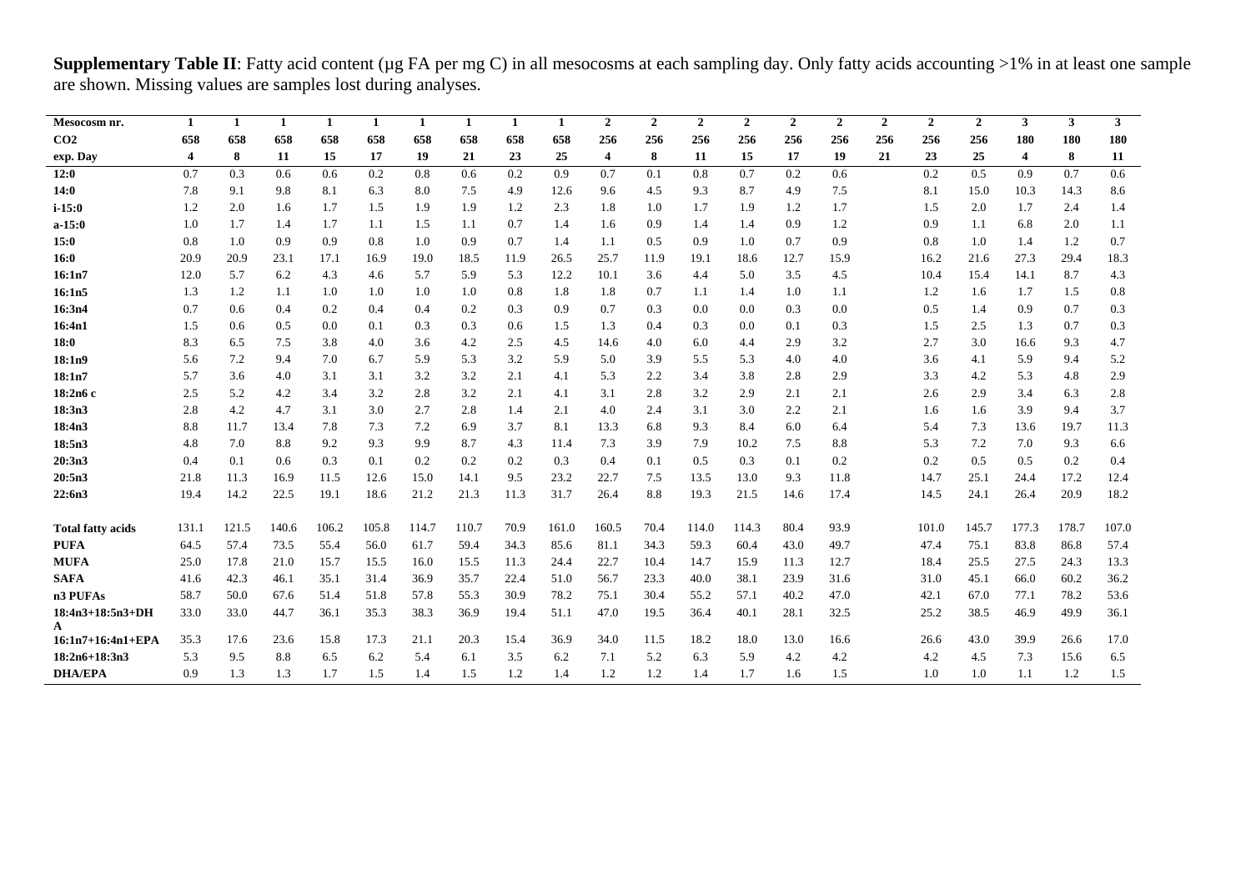**Supplementary Table II**: Fatty acid content (µg FA per mg C) in all mesocosms at each sampling day. Only fatty acids accounting >1% in at least one sample are shown. Missing values are samples lost during analyses.

| Mesocosm nr.             | 1     | 1     | 1     | 1     | 1     | 1     | 1     | 1    | 1     | $\overline{2}$ | $\overline{2}$ | $\overline{2}$ | $\overline{2}$ | $\overline{2}$ | $\overline{2}$ | $\mathbf{2}$ | $\overline{2}$ | $\overline{2}$ | 3                       | $\mathbf{3}$ | 3 <sup>1</sup> |
|--------------------------|-------|-------|-------|-------|-------|-------|-------|------|-------|----------------|----------------|----------------|----------------|----------------|----------------|--------------|----------------|----------------|-------------------------|--------------|----------------|
| CO <sub>2</sub>          | 658   | 658   | 658   | 658   | 658   | 658   | 658   | 658  | 658   | 256            | 256            | 256            | 256            | 256            | 256            | 256          | 256            | 256            | 180                     | 180          | 180            |
| exp. Day                 | 4     | 8     | 11    | 15    | 17    | 19    | 21    | 23   | 25    | $\overline{4}$ | 8              | 11             | 15             | 17             | 19             | 21           | 23             | 25             | $\overline{\mathbf{4}}$ | 8            | 11             |
| 12:0                     | 0.7   | 0.3   | 0.6   | 0.6   | 0.2   | 0.8   | 0.6   | 0.2  | 0.9   | 0.7            | 0.1            | 0.8            | 0.7            | 0.2            | 0.6            |              | 0.2            | 0.5            | 0.9                     | 0.7          | 0.6            |
| 14:0                     | 7.8   | 9.1   | 9.8   | 8.1   | 6.3   | 8.0   | 7.5   | 4.9  | 12.6  | 9.6            | 4.5            | 9.3            | 8.7            | 4.9            | 7.5            |              | 8.1            | 15.0           | 10.3                    | 14.3         | 8.6            |
| $i - 15:0$               | 1.2   | 2.0   | 1.6   | 1.7   | 1.5   | 1.9   | 1.9   | 1.2  | 2.3   | 1.8            | 1.0            | 1.7            | 1.9            | 1.2            | 1.7            |              | 1.5            | 2.0            | 1.7                     | 2.4          | 1.4            |
| $a-15:0$                 | 1.0   | 1.7   | 1.4   | 1.7   | 1.1   | 1.5   | 1.1   | 0.7  | 1.4   | 1.6            | 0.9            | 1.4            | 1.4            | 0.9            | 1.2            |              | 0.9            | 1.1            | 6.8                     | 2.0          | 1.1            |
| 15:0                     | 0.8   | 1.0   | 0.9   | 0.9   | 0.8   | 1.0   | 0.9   | 0.7  | 1.4   | 1.1            | 0.5            | 0.9            | 1.0            | 0.7            | 0.9            |              | 0.8            | 1.0            | 1.4                     | 1.2          | 0.7            |
| 16:0                     | 20.9  | 20.9  | 23.1  | 17.1  | 16.9  | 19.0  | 18.5  | 11.9 | 26.5  | 25.7           | 11.9           | 19.1           | 18.6           | 12.7           | 15.9           |              | 16.2           | 21.6           | 27.3                    | 29.4         | 18.3           |
| 16:1n7                   | 12.0  | 5.7   | 6.2   | 4.3   | 4.6   | 5.7   | 5.9   | 5.3  | 12.2  | 10.1           | 3.6            | 4.4            | 5.0            | 3.5            | 4.5            |              | 10.4           | 15.4           | 14.1                    | 8.7          | 4.3            |
| 16:1n5                   | 1.3   | 1.2   | 1.1   | 1.0   | 1.0   | 1.0   | 1.0   | 0.8  | 1.8   | 1.8            | 0.7            | 1.1            | 1.4            | 1.0            | 1.1            |              | 1.2            | 1.6            | 1.7                     | 1.5          | 0.8            |
| 16:3n4                   | 0.7   | 0.6   | 0.4   | 0.2   | 0.4   | 0.4   | 0.2   | 0.3  | 0.9   | 0.7            | 0.3            | 0.0            | 0.0            | 0.3            | 0.0            |              | 0.5            | 1.4            | 0.9                     | 0.7          | 0.3            |
| 16:4n1                   | 1.5   | 0.6   | 0.5   | 0.0   | 0.1   | 0.3   | 0.3   | 0.6  | 1.5   | 1.3            | 0.4            | 0.3            | 0.0            | 0.1            | 0.3            |              | 1.5            | 2.5            | 1.3                     | 0.7          | 0.3            |
| 18:0                     | 8.3   | 6.5   | 7.5   | 3.8   | 4.0   | 3.6   | 4.2   | 2.5  | 4.5   | 14.6           | 4.0            | 6.0            | 4.4            | 2.9            | 3.2            |              | 2.7            | 3.0            | 16.6                    | 9.3          | 4.7            |
| 18:1n9                   | 5.6   | 7.2   | 9.4   | 7.0   | 6.7   | 5.9   | 5.3   | 3.2  | 5.9   | 5.0            | 3.9            | 5.5            | 5.3            | 4.0            | 4.0            |              | 3.6            | 4.1            | 5.9                     | 9.4          | 5.2            |
| 18:1n7                   | 5.7   | 3.6   | 4.0   | 3.1   | 3.1   | 3.2   | 3.2   | 2.1  | 4.1   | 5.3            | 2.2            | 3.4            | 3.8            | 2.8            | 2.9            |              | 3.3            | 4.2            | 5.3                     | 4.8          | 2.9            |
| 18:2n6 c                 | 2.5   | 5.2   | 4.2   | 3.4   | 3.2   | 2.8   | 3.2   | 2.1  | 4.1   | 3.1            | 2.8            | 3.2            | 2.9            | 2.1            | 2.1            |              | 2.6            | 2.9            | 3.4                     | 6.3          | 2.8            |
| 18:3n3                   | 2.8   | 4.2   | 4.7   | 3.1   | 3.0   | 2.7   | 2.8   | 1.4  | 2.1   | 4.0            | 2.4            | 3.1            | 3.0            | 2.2            | 2.1            |              | 1.6            | 1.6            | 3.9                     | 9.4          | 3.7            |
| 18:4n3                   | 8.8   | 11.7  | 13.4  | 7.8   | 7.3   | 7.2   | 6.9   | 3.7  | 8.1   | 13.3           | 6.8            | 9.3            | 8.4            | 6.0            | 6.4            |              | 5.4            | 7.3            | 13.6                    | 19.7         | 11.3           |
| 18:5n3                   | 4.8   | 7.0   | 8.8   | 9.2   | 9.3   | 9.9   | 8.7   | 4.3  | 11.4  | 7.3            | 3.9            | 7.9            | 10.2           | 7.5            | 8.8            |              | 5.3            | 7.2            | 7.0                     | 9.3          | 6.6            |
| 20:3n3                   | 0.4   | 0.1   | 0.6   | 0.3   | 0.1   | 0.2   | 0.2   | 0.2  | 0.3   | 0.4            | 0.1            | 0.5            | 0.3            | 0.1            | 0.2            |              | 0.2            | 0.5            | 0.5                     | 0.2          | 0.4            |
| 20:5n3                   | 21.8  | 11.3  | 16.9  | 11.5  | 12.6  | 15.0  | 14.1  | 9.5  | 23.2  | 22.7           | 7.5            | 13.5           | 13.0           | 9.3            | 11.8           |              | 14.7           | 25.1           | 24.4                    | 17.2         | 12.4           |
| 22:6n3                   | 19.4  | 14.2  | 22.5  | 19.1  | 18.6  | 21.2  | 21.3  | 11.3 | 31.7  | 26.4           | 8.8            | 19.3           | 21.5           | 14.6           | 17.4           |              | 14.5           | 24.1           | 26.4                    | 20.9         | 18.2           |
|                          |       |       |       |       |       |       |       |      |       |                |                |                |                |                |                |              |                |                |                         |              |                |
| <b>Total fatty acids</b> | 131.1 | 121.5 | 140.6 | 106.2 | 105.8 | 114.7 | 110.7 | 70.9 | 161.0 | 160.5          | 70.4           | 114.0          | 114.3          | 80.4           | 93.9           |              | 101.0          | 145.7          | 177.3                   | 178.7        | 107.0          |
| <b>PUFA</b>              | 64.5  | 57.4  | 73.5  | 55.4  | 56.0  | 61.7  | 59.4  | 34.3 | 85.6  | 81.1           | 34.3           | 59.3           | 60.4           | 43.0           | 49.7           |              | 47.4           | 75.1           | 83.8                    | 86.8         | 57.4           |
| <b>MUFA</b>              | 25.0  | 17.8  | 21.0  | 15.7  | 15.5  | 16.0  | 15.5  | 11.3 | 24.4  | 22.7           | 10.4           | 14.7           | 15.9           | 11.3           | 12.7           |              | 18.4           | 25.5           | 27.5                    | 24.3         | 13.3           |
| <b>SAFA</b>              | 41.6  | 42.3  | 46.1  | 35.1  | 31.4  | 36.9  | 35.7  | 22.4 | 51.0  | 56.7           | 23.3           | 40.0           | 38.1           | 23.9           | 31.6           |              | 31.0           | 45.1           | 66.0                    | 60.2         | 36.2           |
| n3 PUFAs                 | 58.7  | 50.0  | 67.6  | 51.4  | 51.8  | 57.8  | 55.3  | 30.9 | 78.2  | 75.1           | 30.4           | 55.2           | 57.1           | 40.2           | 47.0           |              | 42.1           | 67.0           | 77.1                    | 78.2         | 53.6           |
| 18:4n3+18:5n3+DH         | 33.0  | 33.0  | 44.7  | 36.1  | 35.3  | 38.3  | 36.9  | 19.4 | 51.1  | 47.0           | 19.5           | 36.4           | 40.1           | 28.1           | 32.5           |              | 25.2           | 38.5           | 46.9                    | 49.9         | 36.1           |
| A<br>16:1n7+16:4n1+EPA   | 35.3  | 17.6  | 23.6  | 15.8  | 17.3  | 21.1  | 20.3  | 15.4 | 36.9  | 34.0           | 11.5           | 18.2           | 18.0           | 13.0           | 16.6           |              | 26.6           | 43.0           | 39.9                    | 26.6         | 17.0           |
| $18:2n6+18:3n3$          | 5.3   | 9.5   | 8.8   | 6.5   | 6.2   | 5.4   | 6.1   | 3.5  | 6.2   | 7.1            | 5.2            | 6.3            | 5.9            | 4.2            | 4.2            |              | 4.2            | 4.5            | 7.3                     | 15.6         | 6.5            |
| <b>DHA/EPA</b>           | 0.9   | 1.3   | 1.3   | 1.7   | 1.5   | 1.4   | 1.5   | 1.2  | 1.4   | 1.2            | 1.2            | 1.4            | 1.7            | 1.6            | 1.5            |              | 1.0            | 1.0            | 1.1                     | 1.2          | 1.5            |
|                          |       |       |       |       |       |       |       |      |       |                |                |                |                |                |                |              |                |                |                         |              |                |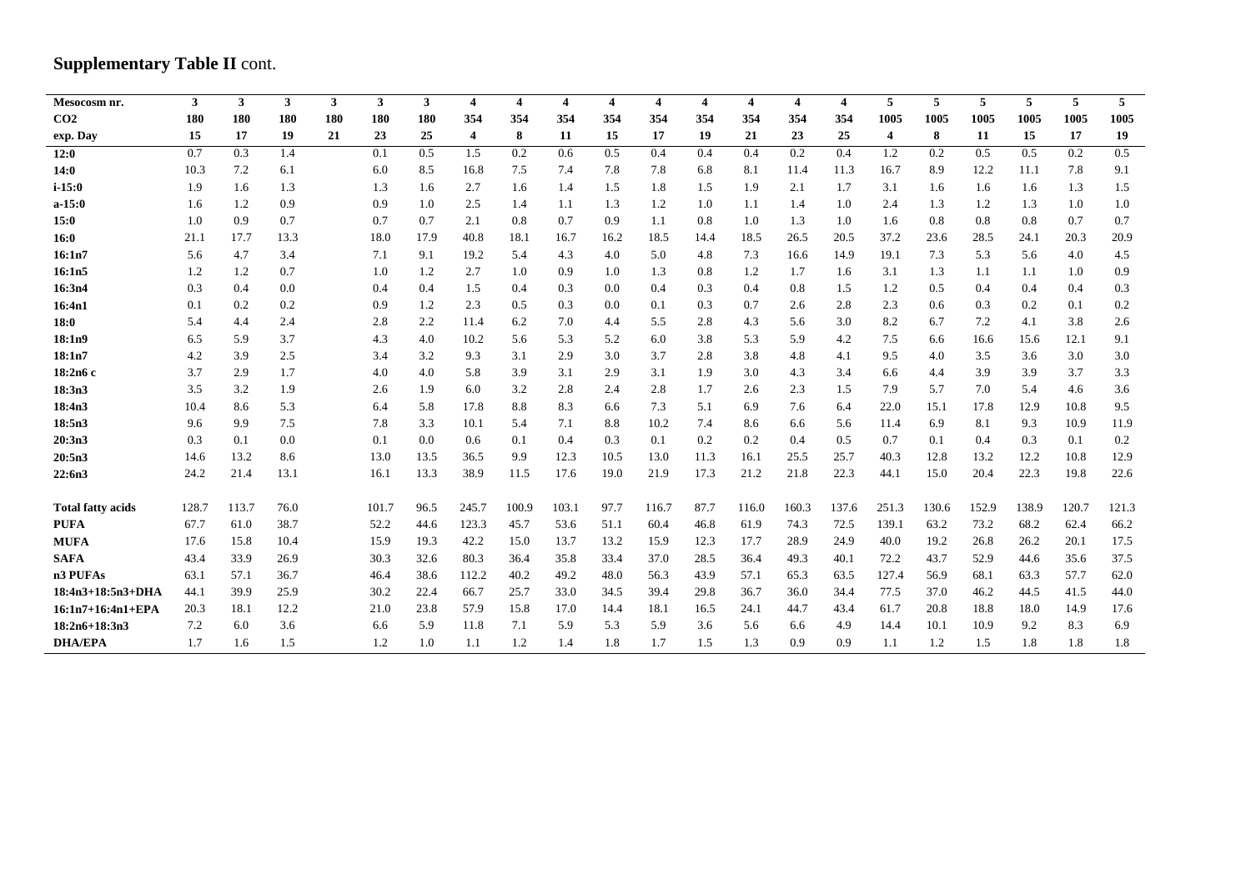# **Supplementary Table II cont.**

| Mesocosm nr.             | $\mathbf{3}$ | $\mathbf{3}$ | $\mathbf{3}$ | $\mathbf{3}$ | 3 <sup>1</sup> | $\mathbf{3}$ | $\overline{4}$          | $\overline{\mathbf{4}}$ | $\overline{4}$ | $\overline{\mathbf{4}}$ | $\overline{4}$ | $\overline{4}$ | $\overline{4}$ | $\overline{4}$ | $\overline{\mathbf{4}}$ | 5                       | 5     | 5     | 5     | 5     | 5 <sup>1</sup> |
|--------------------------|--------------|--------------|--------------|--------------|----------------|--------------|-------------------------|-------------------------|----------------|-------------------------|----------------|----------------|----------------|----------------|-------------------------|-------------------------|-------|-------|-------|-------|----------------|
| CO <sub>2</sub>          | 180          | <b>180</b>   | 180          | 180          | 180            | 180          | 354                     | 354                     | 354            | 354                     | 354            | 354            | 354            | 354            | 354                     | 1005                    | 1005  | 1005  | 1005  | 1005  | 1005           |
| exp. Day                 | 15           | 17           | 19           | 21           | 23             | 25           | $\overline{\mathbf{4}}$ | 8                       | 11             | 15                      | 17             | 19             | 21             | 23             | 25                      | $\overline{\mathbf{4}}$ | 8     | 11    | 15    | 17    | 19             |
| 12:0                     | 0.7          | 0.3          | 1.4          |              | 0.1            | 0.5          | 1.5                     | 0.2                     | 0.6            | 0.5                     | 0.4            | 0.4            | 0.4            | 0.2            | 0.4                     | 1.2                     | 0.2   | 0.5   | 0.5   | 0.2   | 0.5            |
| 14:0                     | 10.3         | 7.2          | 6.1          |              | 6.0            | 8.5          | 16.8                    | 7.5                     | 7.4            | 7.8                     | 7.8            | 6.8            | 8.1            | 11.4           | 11.3                    | 16.7                    | 8.9   | 12.2  | 11.1  | 7.8   | 9.1            |
| $i - 15:0$               | 1.9          | 1.6          | 1.3          |              | 1.3            | 1.6          | 2.7                     | 1.6                     | 1.4            | 1.5                     | 1.8            | 1.5            | 1.9            | 2.1            | 1.7                     | 3.1                     | 1.6   | 1.6   | 1.6   | 1.3   | 1.5            |
| $a-15:0$                 | 1.6          | 1.2          | 0.9          |              | 0.9            | 1.0          | 2.5                     | 1.4                     | 1.1            | 1.3                     | 1.2            | 1.0            | 1.1            | 1.4            | 1.0                     | 2.4                     | 1.3   | 1.2   | 1.3   | 1.0   | 1.0            |
| 15:0                     | 1.0          | 0.9          | 0.7          |              | 0.7            | 0.7          | 2.1                     | 0.8                     | 0.7            | 0.9                     | 1.1            | 0.8            | 1.0            | 1.3            | 1.0                     | 1.6                     | 0.8   | 0.8   | 0.8   | 0.7   | 0.7            |
| 16:0                     | 21.1         | 17.7         | 13.3         |              | 18.0           | 17.9         | 40.8                    | 18.1                    | 16.7           | 16.2                    | 18.5           | 14.4           | 18.5           | 26.5           | 20.5                    | 37.2                    | 23.6  | 28.5  | 24.1  | 20.3  | 20.9           |
| 16:1n7                   | 5.6          | 4.7          | 3.4          |              | 7.1            | 9.1          | 19.2                    | 5.4                     | 4.3            | 4.0                     | 5.0            | 4.8            | 7.3            | 16.6           | 14.9                    | 19.1                    | 7.3   | 5.3   | 5.6   | 4.0   | 4.5            |
| 16:1n5                   | 1.2          | 1.2          | 0.7          |              | 1.0            | 1.2          | 2.7                     | 1.0                     | 0.9            | 1.0                     | 1.3            | 0.8            | 1.2            | 1.7            | 1.6                     | 3.1                     | 1.3   | 1.1   | 1.1   | 1.0   | 0.9            |
| 16:3n4                   | 0.3          | 0.4          | 0.0          |              | 0.4            | 0.4          | 1.5                     | 0.4                     | 0.3            | 0.0                     | 0.4            | 0.3            | 0.4            | 0.8            | 1.5                     | 1.2                     | 0.5   | 0.4   | 0.4   | 0.4   | 0.3            |
| 16:4n1                   | 0.1          | 0.2          | 0.2          |              | 0.9            | 1.2          | 2.3                     | 0.5                     | 0.3            | 0.0                     | 0.1            | 0.3            | 0.7            | 2.6            | 2.8                     | 2.3                     | 0.6   | 0.3   | 0.2   | 0.1   | 0.2            |
| 18:0                     | 5.4          | 4.4          | 2.4          |              | 2.8            | 2.2          | 11.4                    | 6.2                     | 7.0            | 4.4                     | 5.5            | 2.8            | 4.3            | 5.6            | 3.0                     | 8.2                     | 6.7   | 7.2   | 4.1   | 3.8   | 2.6            |
| 18:1n9                   | 6.5          | 5.9          | 3.7          |              | 4.3            | 4.0          | 10.2                    | 5.6                     | 5.3            | 5.2                     | 6.0            | 3.8            | 5.3            | 5.9            | 4.2                     | 7.5                     | 6.6   | 16.6  | 15.6  | 12.1  | 9.1            |
| 18:1n7                   | 4.2          | 3.9          | 2.5          |              | 3.4            | 3.2          | 9.3                     | 3.1                     | 2.9            | 3.0                     | 3.7            | 2.8            | 3.8            | 4.8            | 4.1                     | 9.5                     | 4.0   | 3.5   | 3.6   | 3.0   | 3.0            |
| 18:2n6 c                 | 3.7          | 2.9          | 1.7          |              | 4.0            | 4.0          | 5.8                     | 3.9                     | 3.1            | 2.9                     | 3.1            | 1.9            | 3.0            | 4.3            | 3.4                     | 6.6                     | 4.4   | 3.9   | 3.9   | 3.7   | 3.3            |
| 18:3n3                   | 3.5          | 3.2          | 1.9          |              | 2.6            | 1.9          | 6.0                     | 3.2                     | 2.8            | 2.4                     | 2.8            | 1.7            | 2.6            | 2.3            | 1.5                     | 7.9                     | 5.7   | 7.0   | 5.4   | 4.6   | 3.6            |
| 18:4n3                   | 10.4         | 8.6          | 5.3          |              | 6.4            | 5.8          | 17.8                    | 8.8                     | 8.3            | 6.6                     | 7.3            | 5.1            | 6.9            | 7.6            | 6.4                     | 22.0                    | 15.1  | 17.8  | 12.9  | 10.8  | 9.5            |
| 18:5n3                   | 9.6          | 9.9          | 7.5          |              | 7.8            | 3.3          | 10.1                    | 5.4                     | 7.1            | 8.8                     | 10.2           | 7.4            | 8.6            | 6.6            | 5.6                     | 11.4                    | 6.9   | 8.1   | 9.3   | 10.9  | 11.9           |
| 20:3n3                   | 0.3          | 0.1          | 0.0          |              | 0.1            | 0.0          | 0.6                     | 0.1                     | 0.4            | 0.3                     | 0.1            | 0.2            | 0.2            | 0.4            | 0.5                     | 0.7                     | 0.1   | 0.4   | 0.3   | 0.1   | 0.2            |
| 20:5n3                   | 14.6         | 13.2         | 8.6          |              | 13.0           | 13.5         | 36.5                    | 9.9                     | 12.3           | 10.5                    | 13.0           | 11.3           | 16.1           | 25.5           | 25.7                    | 40.3                    | 12.8  | 13.2  | 12.2  | 10.8  | 12.9           |
| 22:6n3                   | 24.2         | 21.4         | 13.1         |              | 16.1           | 13.3         | 38.9                    | 11.5                    | 17.6           | 19.0                    | 21.9           | 17.3           | 21.2           | 21.8           | 22.3                    | 44.1                    | 15.0  | 20.4  | 22.3  | 19.8  | 22.6           |
|                          |              |              |              |              |                |              |                         |                         |                |                         |                |                |                |                |                         |                         |       |       |       |       |                |
| <b>Total fatty acids</b> | 128.7        | 113.7        | 76.0         |              | 101.7          | 96.5         | 245.7                   | 100.9                   | 103.1          | 97.7                    | 116.7          | 87.7           | 116.0          | 160.3          | 137.6                   | 251.3                   | 130.6 | 152.9 | 138.9 | 120.7 | 121.3          |
| <b>PUFA</b>              | 67.7         | 61.0         | 38.7         |              | 52.2           | 44.6         | 123.3                   | 45.7                    | 53.6           | 51.1                    | 60.4           | 46.8           | 61.9           | 74.3           | 72.5                    | 139.1                   | 63.2  | 73.2  | 68.2  | 62.4  | 66.2           |
| <b>MUFA</b>              | 17.6         | 15.8         | 10.4         |              | 15.9           | 19.3         | 42.2                    | 15.0                    | 13.7           | 13.2                    | 15.9           | 12.3           | 17.7           | 28.9           | 24.9                    | 40.0                    | 19.2  | 26.8  | 26.2  | 20.1  | 17.5           |
| <b>SAFA</b>              | 43.4         | 33.9         | 26.9         |              | 30.3           | 32.6         | 80.3                    | 36.4                    | 35.8           | 33.4                    | 37.0           | 28.5           | 36.4           | 49.3           | 40.1                    | 72.2                    | 43.7  | 52.9  | 44.6  | 35.6  | 37.5           |
| n3 PUFAs                 | 63.1         | 57.1         | 36.7         |              | 46.4           | 38.6         | 112.2                   | 40.2                    | 49.2           | 48.0                    | 56.3           | 43.9           | 57.1           | 65.3           | 63.5                    | 127.4                   | 56.9  | 68.1  | 63.3  | 57.7  | 62.0           |
| $18:4n3+18:5n3+DHA$      | 44.1         | 39.9         | 25.9         |              | 30.2           | 22.4         | 66.7                    | 25.7                    | 33.0           | 34.5                    | 39.4           | 29.8           | 36.7           | 36.0           | 34.4                    | 77.5                    | 37.0  | 46.2  | 44.5  | 41.5  | 44.0           |
| $16:1n7+16:4n1+EPA$      | 20.3         | 18.1         | 12.2         |              | 21.0           | 23.8         | 57.9                    | 15.8                    | 17.0           | 14.4                    | 18.1           | 16.5           | 24.1           | 44.7           | 43.4                    | 61.7                    | 20.8  | 18.8  | 18.0  | 14.9  | 17.6           |
| $18:2n6+18:3n3$          | 7.2          | 6.0          | 3.6          |              | 6.6            | 5.9          | 11.8                    | 7.1                     | 5.9            | 5.3                     | 5.9            | 3.6            | 5.6            | 6.6            | 4.9                     | 14.4                    | 10.1  | 10.9  | 9.2   | 8.3   | 6.9            |
| <b>DHA/EPA</b>           | 1.7          | 1.6          | 1.5          |              | 1.2            | 1.0          | 1.1                     | 1.2                     | 1.4            | 1.8                     | 1.7            | 1.5            | 1.3            | 0.9            | 0.9                     | 1.1                     | 1.2   | 1.5   | 1.8   | 1.8   | 1.8            |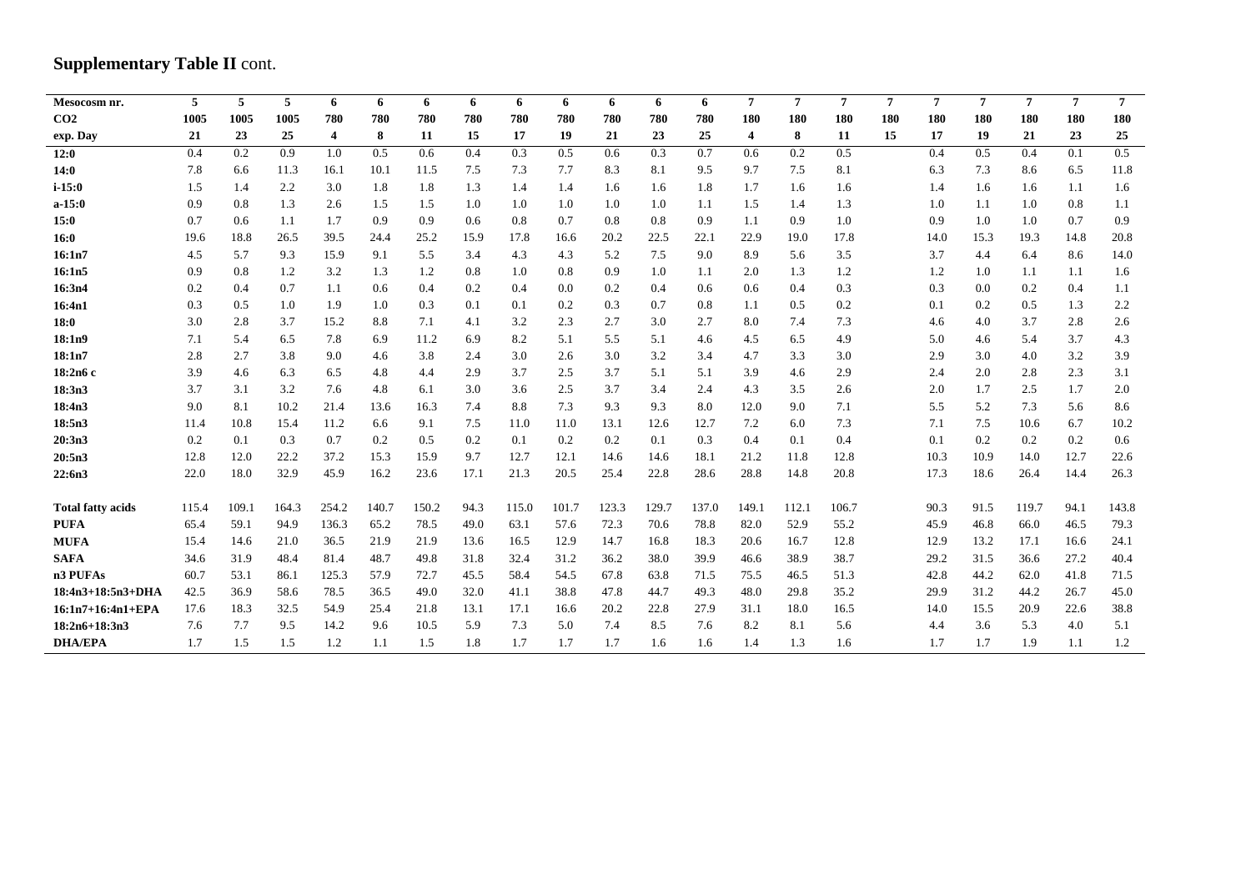# **Supplementary Table II cont.**

| Mesocosm nr.             | 5     | 5     | 5     | 6     | 6     | 6     | 6    | 6     | 6     | 6     | 6     | 6     | $\overline{7}$ | $\overline{7}$ | $\overline{7}$ | $\overline{7}$ | $\overline{7}$ | $\overline{7}$ | $\overline{7}$ | $\overline{7}$ | $7^{\circ}$ |
|--------------------------|-------|-------|-------|-------|-------|-------|------|-------|-------|-------|-------|-------|----------------|----------------|----------------|----------------|----------------|----------------|----------------|----------------|-------------|
| CO <sub>2</sub>          | 1005  | 1005  | 1005  | 780   | 780   | 780   | 780  | 780   | 780   | 780   | 780   | 780   | 180            | 180            | 180            | 180            | 180            | 180            | 180            | 180            | 180         |
| exp. Day                 | 21    | 23    | 25    | 4     | 8     | 11    | 15   | 17    | 19    | 21    | 23    | 25    | 4              | 8              | 11             | 15             | 17             | 19             | 21             | 23             | 25          |
| 12:0                     | 0.4   | 0.2   | 0.9   | 1.0   | 0.5   | 0.6   | 0.4  | 0.3   | 0.5   | 0.6   | 0.3   | 0.7   | 0.6            | 0.2            | 0.5            |                | 0.4            | 0.5            | 0.4            | 0.1            | 0.5         |
| 14:0                     | 7.8   | 6.6   | 11.3  | 16.1  | 10.1  | 11.5  | 7.5  | 7.3   | 7.7   | 8.3   | 8.1   | 9.5   | 9.7            | 7.5            | 8.1            |                | 6.3            | 7.3            | 8.6            | 6.5            | 11.8        |
| $i - 15:0$               | 1.5   | 1.4   | 2.2   | 3.0   | 1.8   | 1.8   | 1.3  | 1.4   | 1.4   | 1.6   | 1.6   | 1.8   | 1.7            | 1.6            | 1.6            |                | 1.4            | 1.6            | 1.6            | 1.1            | 1.6         |
| $a-15:0$                 | 0.9   | 0.8   | 1.3   | 2.6   | 1.5   | 1.5   | 1.0  | 1.0   | 1.0   | 1.0   | 1.0   | 1.1   | 1.5            | 1.4            | 1.3            |                | 1.0            | 1.1            | 1.0            | 0.8            | 1.1         |
| 15:0                     | 0.7   | 0.6   | 1.1   | 1.7   | 0.9   | 0.9   | 0.6  | 0.8   | 0.7   | 0.8   | 0.8   | 0.9   | 1.1            | 0.9            | 1.0            |                | 0.9            | 1.0            | 1.0            | 0.7            | 0.9         |
| 16:0                     | 19.6  | 18.8  | 26.5  | 39.5  | 24.4  | 25.2  | 15.9 | 17.8  | 16.6  | 20.2  | 22.5  | 22.1  | 22.9           | 19.0           | 17.8           |                | 14.0           | 15.3           | 19.3           | 14.8           | 20.8        |
| 16:1n7                   | 4.5   | 5.7   | 9.3   | 15.9  | 9.1   | 5.5   | 3.4  | 4.3   | 4.3   | 5.2   | 7.5   | 9.0   | 8.9            | 5.6            | 3.5            |                | 3.7            | 4.4            | 6.4            | 8.6            | 14.0        |
| 16:1n5                   | 0.9   | 0.8   | 1.2   | 3.2   | 1.3   | 1.2   | 0.8  | 1.0   | 0.8   | 0.9   | 1.0   | 1.1   | 2.0            | 1.3            | 1.2            |                | 1.2            | 1.0            | 1.1            | 1.1            | 1.6         |
| 16:3n4                   | 0.2   | 0.4   | 0.7   | 1.1   | 0.6   | 0.4   | 0.2  | 0.4   | 0.0   | 0.2   | 0.4   | 0.6   | 0.6            | 0.4            | 0.3            |                | 0.3            | 0.0            | 0.2            | 0.4            | 1.1         |
| 16:4n1                   | 0.3   | 0.5   | 1.0   | 1.9   | 1.0   | 0.3   | 0.1  | 0.1   | 0.2   | 0.3   | 0.7   | 0.8   | 1.1            | 0.5            | 0.2            |                | 0.1            | 0.2            | 0.5            | 1.3            | 2.2         |
| 18:0                     | 3.0   | 2.8   | 3.7   | 15.2  | 8.8   | 7.1   | 4.1  | 3.2   | 2.3   | 2.7   | 3.0   | 2.7   | 8.0            | 7.4            | 7.3            |                | 4.6            | 4.0            | 3.7            | 2.8            | 2.6         |
| 18:1n9                   | 7.1   | 5.4   | 6.5   | 7.8   | 6.9   | 11.2  | 6.9  | 8.2   | 5.1   | 5.5   | 5.1   | 4.6   | 4.5            | 6.5            | 4.9            |                | 5.0            | 4.6            | 5.4            | 3.7            | 4.3         |
| 18:1n7                   | 2.8   | 2.7   | 3.8   | 9.0   | 4.6   | 3.8   | 2.4  | 3.0   | 2.6   | 3.0   | 3.2   | 3.4   | 4.7            | 3.3            | 3.0            |                | 2.9            | 3.0            | 4.0            | 3.2            | 3.9         |
| 18:2n6 c                 | 3.9   | 4.6   | 6.3   | 6.5   | 4.8   | 4.4   | 2.9  | 3.7   | 2.5   | 3.7   | 5.1   | 5.1   | 3.9            | 4.6            | 2.9            |                | 2.4            | 2.0            | 2.8            | 2.3            | 3.1         |
| 18:3n3                   | 3.7   | 3.1   | 3.2   | 7.6   | 4.8   | 6.1   | 3.0  | 3.6   | 2.5   | 3.7   | 3.4   | 2.4   | 4.3            | 3.5            | 2.6            |                | 2.0            | 1.7            | 2.5            | 1.7            | 2.0         |
| 18:4n3                   | 9.0   | 8.1   | 10.2  | 21.4  | 13.6  | 16.3  | 7.4  | 8.8   | 7.3   | 9.3   | 9.3   | 8.0   | 12.0           | 9.0            | 7.1            |                | 5.5            | 5.2            | 7.3            | 5.6            | 8.6         |
| 18:5n3                   | 11.4  | 10.8  | 15.4  | 11.2  | 6.6   | 9.1   | 7.5  | 11.0  | 11.0  | 13.1  | 12.6  | 12.7  | 7.2            | 6.0            | 7.3            |                | 7.1            | 7.5            | 10.6           | 6.7            | 10.2        |
| 20:3n3                   | 0.2   | 0.1   | 0.3   | 0.7   | 0.2   | 0.5   | 0.2  | 0.1   | 0.2   | 0.2   | 0.1   | 0.3   | 0.4            | 0.1            | 0.4            |                | 0.1            | 0.2            | 0.2            | 0.2            | 0.6         |
| 20:5n3                   | 12.8  | 12.0  | 22.2  | 37.2  | 15.3  | 15.9  | 9.7  | 12.7  | 12.1  | 14.6  | 14.6  | 18.1  | 21.2           | 11.8           | 12.8           |                | 10.3           | 10.9           | 14.0           | 12.7           | 22.6        |
| 22:6n3                   | 22.0  | 18.0  | 32.9  | 45.9  | 16.2  | 23.6  | 17.1 | 21.3  | 20.5  | 25.4  | 22.8  | 28.6  | 28.8           | 14.8           | 20.8           |                | 17.3           | 18.6           | 26.4           | 14.4           | 26.3        |
|                          |       |       |       |       |       |       |      |       |       |       |       |       |                |                |                |                |                |                |                |                |             |
| <b>Total fatty acids</b> | 115.4 | 109.1 | 164.3 | 254.2 | 140.7 | 150.2 | 94.3 | 115.0 | 101.7 | 123.3 | 129.7 | 137.0 | 149.1          | 112.1          | 106.7          |                | 90.3           | 91.5           | 119.7          | 94.1           | 143.8       |
| <b>PUFA</b>              | 65.4  | 59.1  | 94.9  | 136.3 | 65.2  | 78.5  | 49.0 | 63.1  | 57.6  | 72.3  | 70.6  | 78.8  | 82.0           | 52.9           | 55.2           |                | 45.9           | 46.8           | 66.0           | 46.5           | 79.3        |
| <b>MUFA</b>              | 15.4  | 14.6  | 21.0  | 36.5  | 21.9  | 21.9  | 13.6 | 16.5  | 12.9  | 14.7  | 16.8  | 18.3  | 20.6           | 16.7           | 12.8           |                | 12.9           | 13.2           | 17.1           | 16.6           | 24.1        |
| <b>SAFA</b>              | 34.6  | 31.9  | 48.4  | 81.4  | 48.7  | 49.8  | 31.8 | 32.4  | 31.2  | 36.2  | 38.0  | 39.9  | 46.6           | 38.9           | 38.7           |                | 29.2           | 31.5           | 36.6           | 27.2           | 40.4        |
| n3 PUFAs                 | 60.7  | 53.1  | 86.1  | 125.3 | 57.9  | 72.7  | 45.5 | 58.4  | 54.5  | 67.8  | 63.8  | 71.5  | 75.5           | 46.5           | 51.3           |                | 42.8           | 44.2           | 62.0           | 41.8           | 71.5        |
| $18:4n3+18:5n3+DHA$      | 42.5  | 36.9  | 58.6  | 78.5  | 36.5  | 49.0  | 32.0 | 41.1  | 38.8  | 47.8  | 44.7  | 49.3  | 48.0           | 29.8           | 35.2           |                | 29.9           | 31.2           | 44.2           | 26.7           | 45.0        |
| $16:1n7+16:4n1+EPA$      | 17.6  | 18.3  | 32.5  | 54.9  | 25.4  | 21.8  | 13.1 | 17.1  | 16.6  | 20.2  | 22.8  | 27.9  | 31.1           | 18.0           | 16.5           |                | 14.0           | 15.5           | 20.9           | 22.6           | 38.8        |
| $18:2n6+18:3n3$          | 7.6   | 7.7   | 9.5   | 14.2  | 9.6   | 10.5  | 5.9  | 7.3   | 5.0   | 7.4   | 8.5   | 7.6   | 8.2            | 8.1            | 5.6            |                | 4.4            | 3.6            | 5.3            | 4.0            | 5.1         |
| <b>DHA/EPA</b>           | 1.7   | 1.5   | 1.5   | 1.2   | 1.1   | 1.5   | 1.8  | 1.7   | 1.7   | 1.7   | 1.6   | 1.6   | 1.4            | 1.3            | 1.6            |                | 1.7            | 1.7            | 1.9            | 1.1            | 1.2         |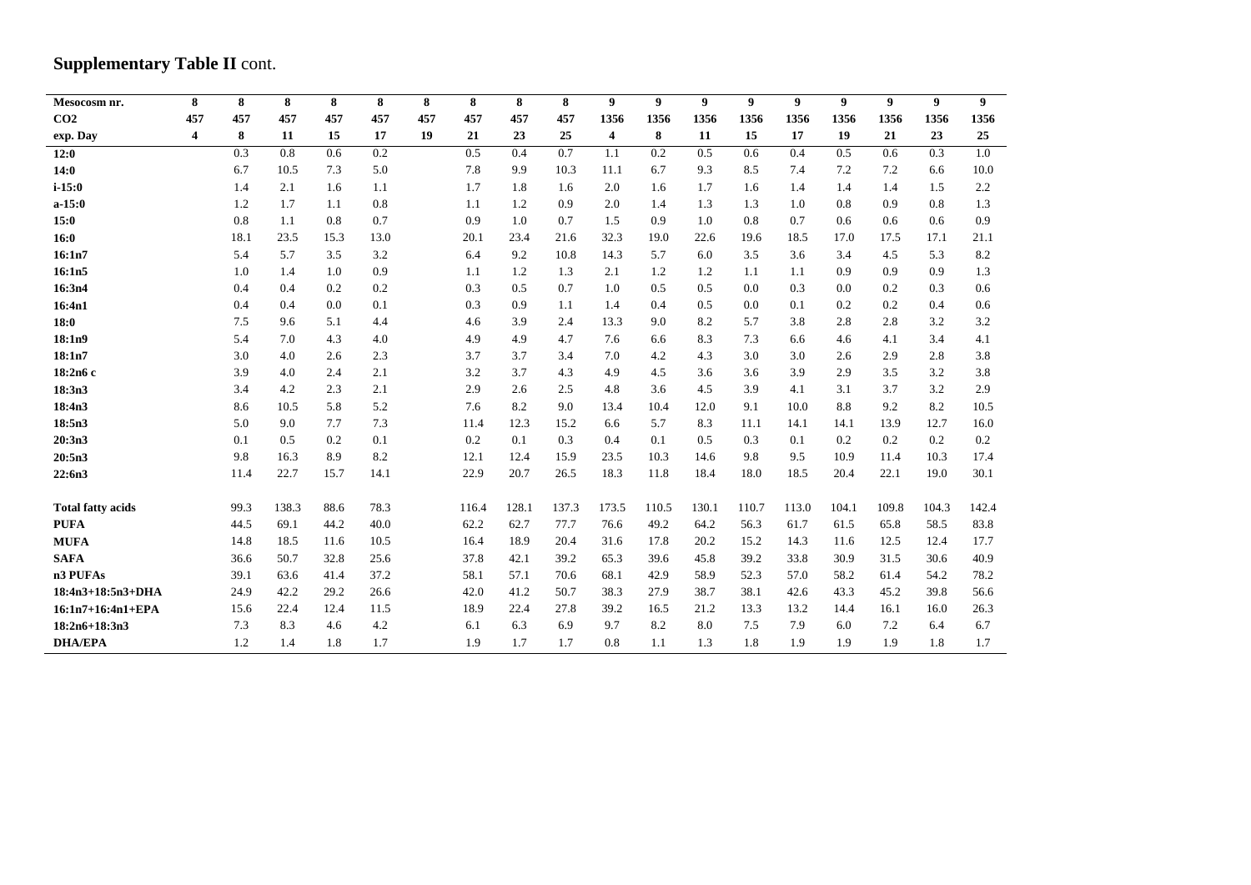# **Supplementary Table II cont.**

| Mesocosm nr.             | 8   | 8    | 8     | 8    | 8    | 8   | 8     | 8     | 8     | 9     | 9     | $\boldsymbol{9}$ | 9     | 9     | 9     | $\boldsymbol{9}$ | 9     | 9     |
|--------------------------|-----|------|-------|------|------|-----|-------|-------|-------|-------|-------|------------------|-------|-------|-------|------------------|-------|-------|
| CO <sub>2</sub>          | 457 | 457  | 457   | 457  | 457  | 457 | 457   | 457   | 457   | 1356  | 1356  | 1356             | 1356  | 1356  | 1356  | 1356             | 1356  | 1356  |
| exp. Day                 | 4   | 8    | 11    | 15   | 17   | 19  | 21    | 23    | 25    | 4     | 8     | 11               | 15    | 17    | 19    | 21               | 23    | 25    |
| 12:0                     |     | 0.3  | 0.8   | 0.6  | 0.2  |     | 0.5   | 0.4   | 0.7   | 1.1   | 0.2   | 0.5              | 0.6   | 0.4   | 0.5   | 0.6              | 0.3   | 1.0   |
| 14:0                     |     | 6.7  | 10.5  | 7.3  | 5.0  |     | 7.8   | 9.9   | 10.3  | 11.1  | 6.7   | 9.3              | 8.5   | 7.4   | 7.2   | 7.2              | 6.6   | 10.0  |
| $i - 15:0$               |     | 1.4  | 2.1   | 1.6  | 1.1  |     | 1.7   | 1.8   | 1.6   | 2.0   | 1.6   | 1.7              | 1.6   | 1.4   | 1.4   | 1.4              | 1.5   | 2.2   |
| $a-15:0$                 |     | 1.2  | 1.7   | 1.1  | 0.8  |     | 1.1   | 1.2   | 0.9   | 2.0   | 1.4   | 1.3              | 1.3   | 1.0   | 0.8   | 0.9              | 0.8   | 1.3   |
| 15:0                     |     | 0.8  | 1.1   | 0.8  | 0.7  |     | 0.9   | 1.0   | 0.7   | 1.5   | 0.9   | 1.0              | 0.8   | 0.7   | 0.6   | 0.6              | 0.6   | 0.9   |
| 16:0                     |     | 18.1 | 23.5  | 15.3 | 13.0 |     | 20.1  | 23.4  | 21.6  | 32.3  | 19.0  | 22.6             | 19.6  | 18.5  | 17.0  | 17.5             | 17.1  | 21.1  |
| 16:1n7                   |     | 5.4  | 5.7   | 3.5  | 3.2  |     | 6.4   | 9.2   | 10.8  | 14.3  | 5.7   | 6.0              | 3.5   | 3.6   | 3.4   | 4.5              | 5.3   | 8.2   |
| 16:1n5                   |     | 1.0  | 1.4   | 1.0  | 0.9  |     | 1.1   | 1.2   | 1.3   | 2.1   | 1.2   | 1.2              | 1.1   | 1.1   | 0.9   | 0.9              | 0.9   | 1.3   |
| 16:3n4                   |     | 0.4  | 0.4   | 0.2  | 0.2  |     | 0.3   | 0.5   | 0.7   | 1.0   | 0.5   | 0.5              | 0.0   | 0.3   | 0.0   | 0.2              | 0.3   | 0.6   |
| 16:4n1                   |     | 0.4  | 0.4   | 0.0  | 0.1  |     | 0.3   | 0.9   | 1.1   | 1.4   | 0.4   | 0.5              | 0.0   | 0.1   | 0.2   | 0.2              | 0.4   | 0.6   |
| 18:0                     |     | 7.5  | 9.6   | 5.1  | 4.4  |     | 4.6   | 3.9   | 2.4   | 13.3  | 9.0   | 8.2              | 5.7   | 3.8   | 2.8   | 2.8              | 3.2   | 3.2   |
| 18:1n9                   |     | 5.4  | 7.0   | 4.3  | 4.0  |     | 4.9   | 4.9   | 4.7   | 7.6   | 6.6   | 8.3              | 7.3   | 6.6   | 4.6   | 4.1              | 3.4   | 4.1   |
| 18:1n7                   |     | 3.0  | 4.0   | 2.6  | 2.3  |     | 3.7   | 3.7   | 3.4   | 7.0   | 4.2   | 4.3              | 3.0   | 3.0   | 2.6   | 2.9              | 2.8   | 3.8   |
| 18:2n6 c                 |     | 3.9  | 4.0   | 2.4  | 2.1  |     | 3.2   | 3.7   | 4.3   | 4.9   | 4.5   | 3.6              | 3.6   | 3.9   | 2.9   | 3.5              | 3.2   | 3.8   |
| 18:3n3                   |     | 3.4  | 4.2   | 2.3  | 2.1  |     | 2.9   | 2.6   | 2.5   | 4.8   | 3.6   | 4.5              | 3.9   | 4.1   | 3.1   | 3.7              | 3.2   | 2.9   |
| 18:4n3                   |     | 8.6  | 10.5  | 5.8  | 5.2  |     | 7.6   | 8.2   | 9.0   | 13.4  | 10.4  | 12.0             | 9.1   | 10.0  | 8.8   | 9.2              | 8.2   | 10.5  |
| 18:5n3                   |     | 5.0  | 9.0   | 7.7  | 7.3  |     | 11.4  | 12.3  | 15.2  | 6.6   | 5.7   | 8.3              | 11.1  | 14.1  | 14.1  | 13.9             | 12.7  | 16.0  |
| 20:3n3                   |     | 0.1  | 0.5   | 0.2  | 0.1  |     | 0.2   | 0.1   | 0.3   | 0.4   | 0.1   | 0.5              | 0.3   | 0.1   | 0.2   | 0.2              | 0.2   | 0.2   |
| 20:5n3                   |     | 9.8  | 16.3  | 8.9  | 8.2  |     | 12.1  | 12.4  | 15.9  | 23.5  | 10.3  | 14.6             | 9.8   | 9.5   | 10.9  | 11.4             | 10.3  | 17.4  |
| 22:6n3                   |     | 11.4 | 22.7  | 15.7 | 14.1 |     | 22.9  | 20.7  | 26.5  | 18.3  | 11.8  | 18.4             | 18.0  | 18.5  | 20.4  | 22.1             | 19.0  | 30.1  |
| <b>Total fatty acids</b> |     | 99.3 | 138.3 | 88.6 | 78.3 |     | 116.4 | 128.1 | 137.3 | 173.5 | 110.5 | 130.1            | 110.7 | 113.0 | 104.1 | 109.8            | 104.3 | 142.4 |
| <b>PUFA</b>              |     | 44.5 | 69.1  | 44.2 | 40.0 |     | 62.2  | 62.7  | 77.7  | 76.6  | 49.2  | 64.2             | 56.3  | 61.7  | 61.5  | 65.8             | 58.5  | 83.8  |
| <b>MUFA</b>              |     | 14.8 | 18.5  | 11.6 | 10.5 |     | 16.4  | 18.9  | 20.4  | 31.6  | 17.8  | 20.2             | 15.2  | 14.3  | 11.6  | 12.5             | 12.4  | 17.7  |
| <b>SAFA</b>              |     | 36.6 | 50.7  | 32.8 | 25.6 |     | 37.8  | 42.1  | 39.2  | 65.3  | 39.6  | 45.8             | 39.2  | 33.8  | 30.9  | 31.5             | 30.6  | 40.9  |
| n3 PUFAs                 |     | 39.1 | 63.6  | 41.4 | 37.2 |     | 58.1  | 57.1  | 70.6  | 68.1  | 42.9  | 58.9             | 52.3  | 57.0  | 58.2  | 61.4             | 54.2  | 78.2  |
| 18:4n3+18:5n3+DHA        |     | 24.9 | 42.2  | 29.2 | 26.6 |     | 42.0  | 41.2  | 50.7  | 38.3  | 27.9  | 38.7             | 38.1  | 42.6  | 43.3  | 45.2             | 39.8  | 56.6  |
| 16:1n7+16:4n1+EPA        |     | 15.6 | 22.4  | 12.4 | 11.5 |     | 18.9  | 22.4  | 27.8  | 39.2  | 16.5  | 21.2             | 13.3  | 13.2  | 14.4  | 16.1             | 16.0  | 26.3  |
| $18:2n6+18:3n3$          |     | 7.3  | 8.3   | 4.6  | 4.2  |     | 6.1   | 6.3   | 6.9   | 9.7   | 8.2   | 8.0              | 7.5   | 7.9   | 6.0   | 7.2              | 6.4   | 6.7   |
| <b>DHA/EPA</b>           |     | 1.2  | 1.4   | 1.8  | 1.7  |     | 1.9   | 1.7   | 1.7   | 0.8   | 1.1   | 1.3              | 1.8   | 1.9   | 1.9   | 1.9              | 1.8   | 1.7   |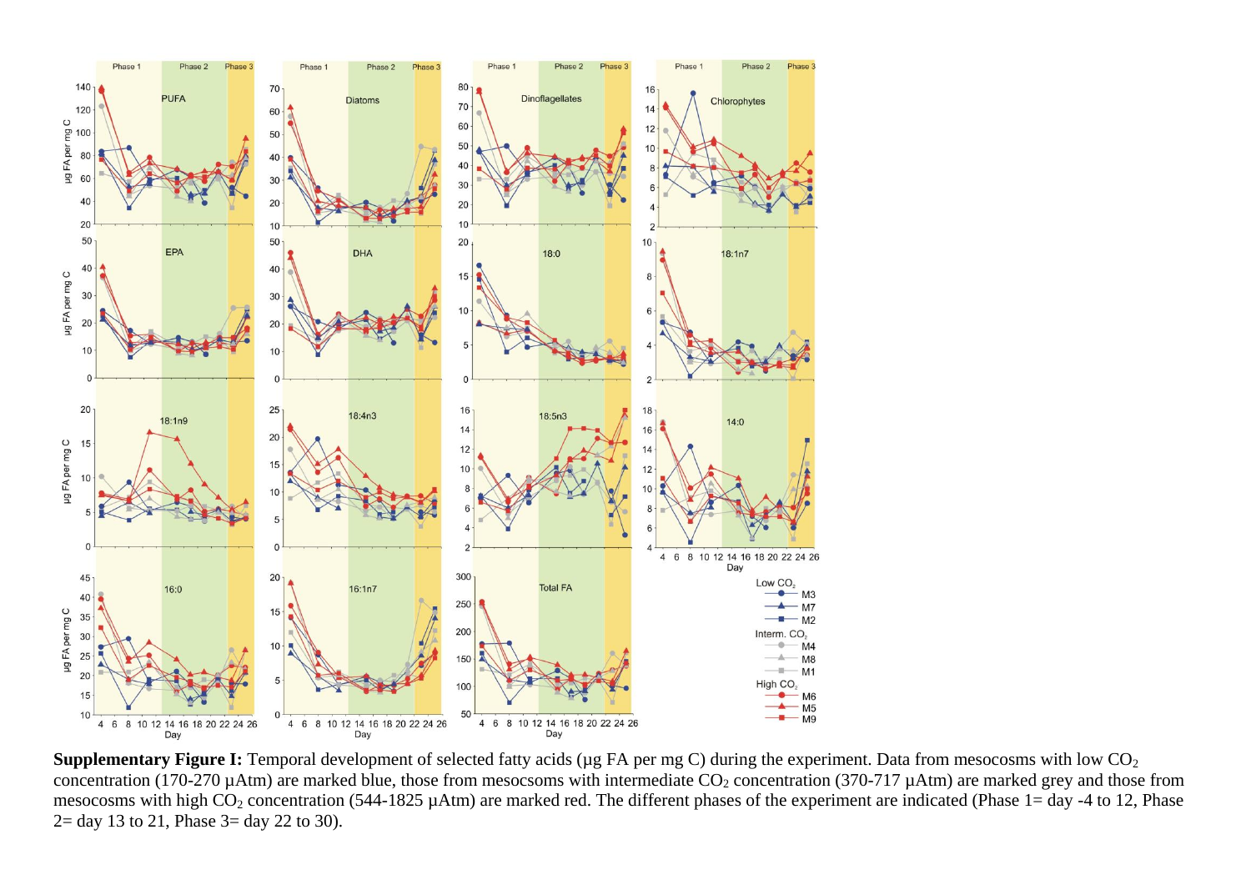

**Supplementary Figure I:** Temporal development of selected fatty acids (µg FA per mg C) during the experiment. Data from mesocosms with low CO<sub>2</sub> concentration (170-270  $\mu$ Atm) are marked blue, those from mesocsoms with intermediate CO<sub>2</sub> concentration (370-717  $\mu$ Atm) are marked grey and those from mesocosms with high  $CO_2$  concentration (544-1825 µAtm) are marked red. The different phases of the experiment are indicated (Phase 1= day -4 to 12, Phase 2= day 13 to 21, Phase 3= day 22 to 30).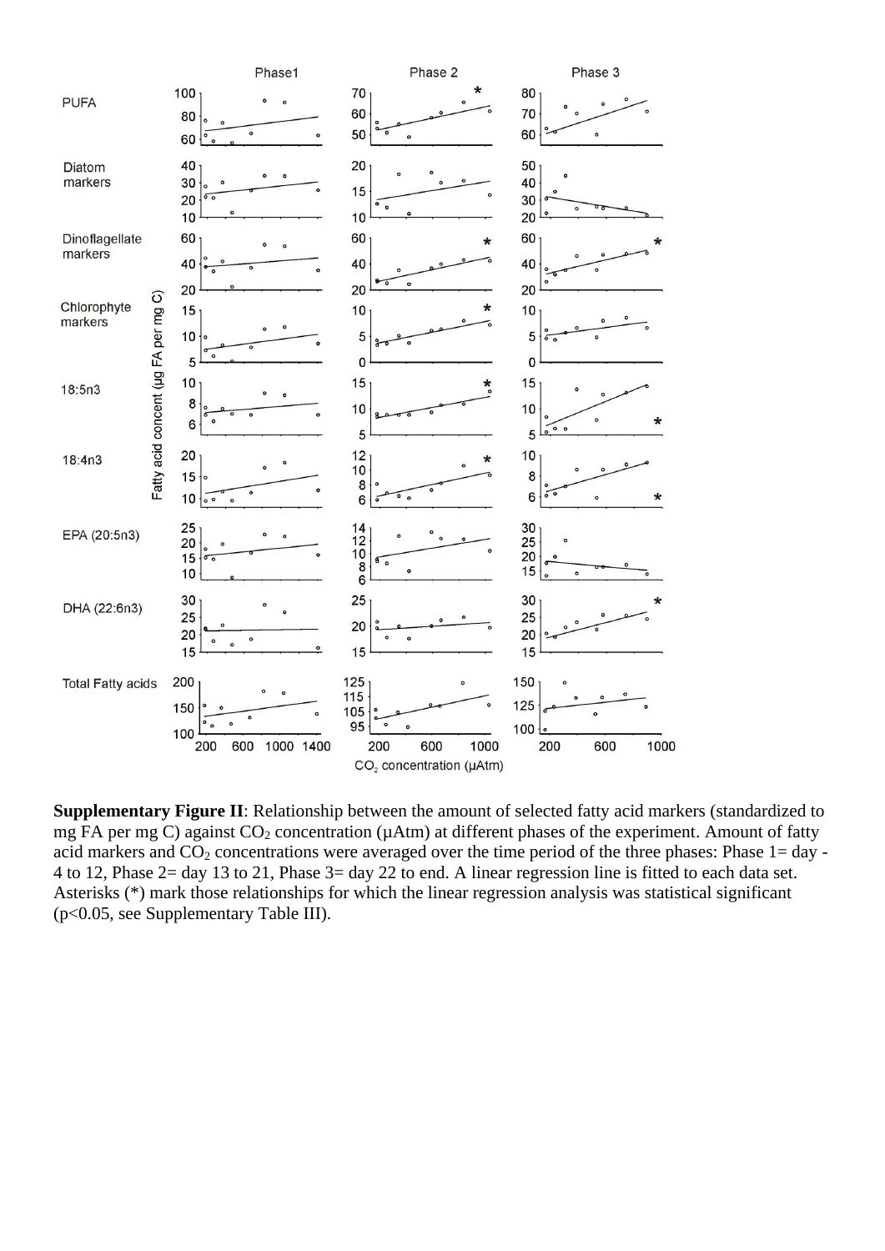

**Supplementary Figure II**: Relationship between the amount of selected fatty acid markers (standardized to mg FA per mg C) against  $CO_2$  concentration ( $\mu$ Atm) at different phases of the experiment. Amount of fatty acid markers and  $CO_2$  concentrations were averaged over the time period of the three phases: Phase  $1 = day -$ 4 to 12, Phase 2= day 13 to 21, Phase 3= day 22 to end. A linear regression line is fitted to each data set. Asterisks (\*) mark those relationships for which the linear regression analysis was statistical significant (p<0.05, see Supplementary Table III).